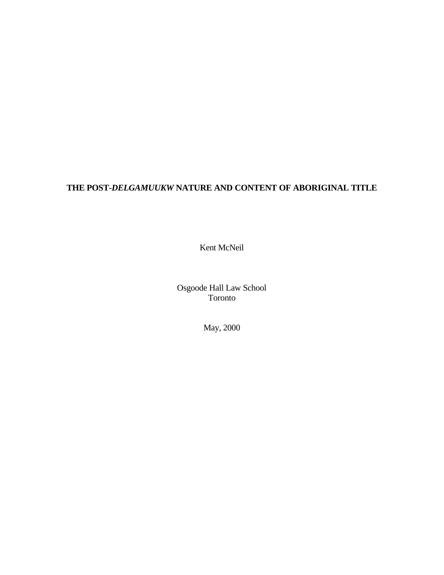# **THE POST-***DELGAMUUKW* **NATURE AND CONTENT OF ABORIGINAL TITLE**

Kent McNeil

Osgoode Hall Law School Toronto

May, 2000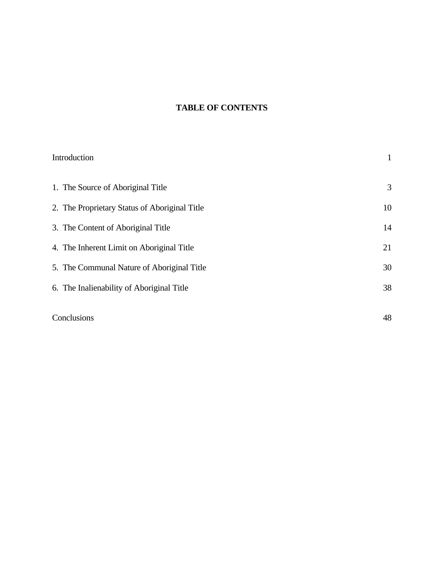# **TABLE OF CONTENTS**

| Introduction                                  | $\mathbf{1}$ |
|-----------------------------------------------|--------------|
| 1. The Source of Aboriginal Title             | 3            |
| 2. The Proprietary Status of Aboriginal Title | 10           |
| 3. The Content of Aboriginal Title            | 14           |
| 4. The Inherent Limit on Aboriginal Title     | 21           |
| 5. The Communal Nature of Aboriginal Title    | 30           |
| 6. The Inalienability of Aboriginal Title     | 38           |
| Conclusions                                   | 48           |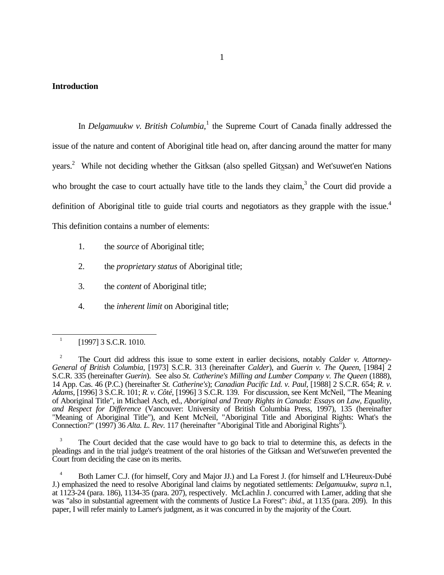#### **Introduction**

In *Delgamuukw v. British Columbia*,<sup>1</sup> the Supreme Court of Canada finally addressed the issue of the nature and content of Aboriginal title head on, after dancing around the matter for many years.<sup>2</sup> While not deciding whether the Gitksan (also spelled Gitxsan) and Wet'suwet'en Nations who brought the case to court actually have title to the lands they claim, $3$  the Court did provide a definition of Aboriginal title to guide trial courts and negotiators as they grapple with the issue.<sup>4</sup> This definition contains a number of elements:

- 1. the *source* of Aboriginal title;
- 2. the *proprietary status* of Aboriginal title;
- 3. the *content* of Aboriginal title;
- 4. the *inherent limit* on Aboriginal title;

<u>.</u>

The Court decided that the case would have to go back to trial to determine this, as defects in the pleadings and in the trial judge's treatment of the oral histories of the Gitksan and Wet'suwet'en prevented the Court from deciding the case on its merits.

<sup>1</sup> [1997] 3 S.C.R. 1010.

<sup>2</sup> The Court did address this issue to some extent in earlier decisions, notably *Calder v. Attorney-General of British Columbia*, [1973] S.C.R. 313 (hereinafter *Calder*), and *Guerin v. The Queen*, [1984] 2 S.C.R. 335 (hereinafter *Guerin*). See also *St. Catherine's Milling and Lumber Company v. The Queen* (1888), 14 App. Cas. 46 (P.C.) (hereinafter *St. Catherine's*); *Canadian Pacific Ltd. v. Paul*, [1988] 2 S.C.R. 654; *R. v. Adams*, [1996] 3 S.C.R. 101; *R. v. Côté*, [1996] 3 S.C.R. 139. For discussion, see Kent McNeil, "The Meaning of Aboriginal Title", in Michael Asch, ed., *Aboriginal and Treaty Rights in Canada: Essays on Law, Equality, and Respect for Difference* (Vancouver: University of British Columbia Press, 1997), 135 (hereinafter "Meaning of Aboriginal Title"), and Kent McNeil, "Aboriginal Title and Aboriginal Rights: What's the Connection?" (1997) 36 *Alta. L. Rev.* 117 (hereinafter "Aboriginal Title and Aboriginal Rights").

<sup>&</sup>lt;sup>4</sup> Both Lamer C.J. (for himself, Cory and Major JJ.) and La Forest J. (for himself and L'Heureux-Dubé J.) emphasized the need to resolve Aboriginal land claims by negotiated settlements: *Delgamuukw*, *supra* n.1, at 1123-24 (para. 186), 1134-35 (para. 207), respectively. McLachlin J. concurred with Lamer, adding that she was "also in substantial agreement with the comments of Justice La Forest": *ibid*., at 1135 (para. 209). In this paper, I will refer mainly to Lamer's judgment, as it was concurred in by the majority of the Court.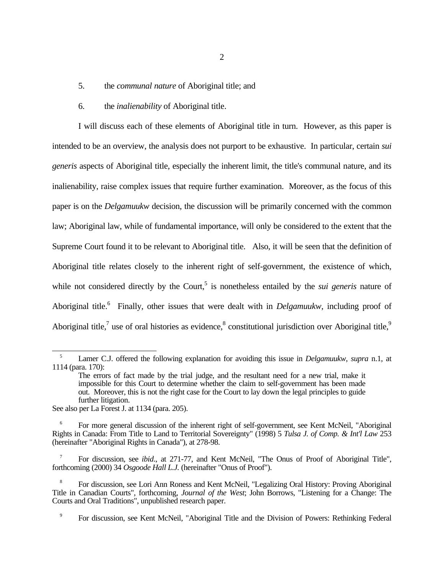5. the *communal nature* of Aboriginal title; and

### 6. the *inalienability* of Aboriginal title.

I will discuss each of these elements of Aboriginal title in turn. However, as this paper is intended to be an overview, the analysis does not purport to be exhaustive. In particular, certain *sui generis* aspects of Aboriginal title, especially the inherent limit, the title's communal nature, and its inalienability, raise complex issues that require further examination. Moreover, as the focus of this paper is on the *Delgamuukw* decision, the discussion will be primarily concerned with the common law; Aboriginal law, while of fundamental importance, will only be considered to the extent that the Supreme Court found it to be relevant to Aboriginal title. Also, it will be seen that the definition of Aboriginal title relates closely to the inherent right of self-government, the existence of which, while not considered directly by the Court,<sup>5</sup> is nonetheless entailed by the *sui generis* nature of Aboriginal title.<sup>6</sup> Finally, other issues that were dealt with in *Delgamuukw*, including proof of Aboriginal title,<sup>7</sup> use of oral histories as evidence,<sup>8</sup> constitutional jurisdiction over Aboriginal title,<sup>9</sup>

See also per La Forest J. at 1134 (para. 205).

 $\overline{a}$ 

9 For discussion, see Kent McNeil, "Aboriginal Title and the Division of Powers: Rethinking Federal

<sup>5</sup> Lamer C.J. offered the following explanation for avoiding this issue in *Delgamuukw*, *supra* n.1, at 1114 (para. 170):

The errors of fact made by the trial judge, and the resultant need for a new trial, make it impossible for this Court to determine whether the claim to self-government has been made out. Moreover, this is not the right case for the Court to lay down the legal principles to guide further litigation.

<sup>6</sup> For more general discussion of the inherent right of self-government, see Kent McNeil, "Aboriginal Rights in Canada: From Title to Land to Territorial Sovereignty" (1998) 5 *Tulsa J. of Comp. & Int'l Law* 253 (hereinafter "Aboriginal Rights in Canada"), at 278-98.

<sup>7</sup> For discussion, see *ibid*., at 271-77, and Kent McNeil, "The Onus of Proof of Aboriginal Title", forthcoming (2000) 34 *Osgoode Hall L.J.* (hereinafter "Onus of Proof").

<sup>8</sup> For discussion, see Lori Ann Roness and Kent McNeil, "Legalizing Oral History: Proving Aboriginal Title in Canadian Courts", forthcoming, *Journal of the West*; John Borrows, "Listening for a Change: The Courts and Oral Traditions", unpublished research paper.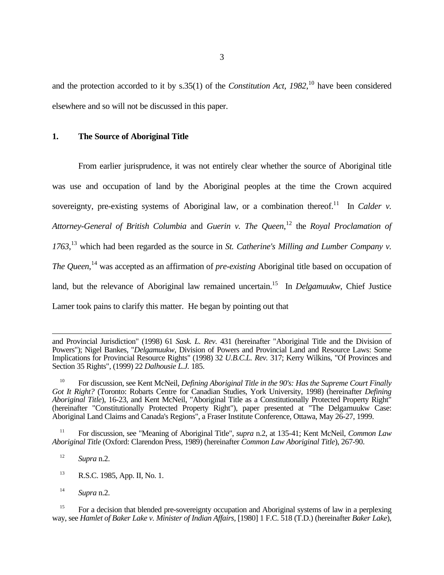and the protection accorded to it by s.35(1) of the *Constitution Act, 1982*, <sup>10</sup> have been considered elsewhere and so will not be discussed in this paper.

## **1. The Source of Aboriginal Title**

From earlier jurisprudence, it was not entirely clear whether the source of Aboriginal title was use and occupation of land by the Aboriginal peoples at the time the Crown acquired sovereignty, pre-existing systems of Aboriginal law, or a combination thereof.<sup>11</sup> In *Calder v. Attorney-General of British Columbia* and *Guerin v. The Queen*, <sup>12</sup> the *Royal Proclamation of 1763*, <sup>13</sup> which had been regarded as the source in *St. Catherine's Milling and Lumber Company v. The Queen*, <sup>14</sup> was accepted as an affirmation of *pre-existing* Aboriginal title based on occupation of land, but the relevance of Aboriginal law remained uncertain.<sup>15</sup> In *Delgamuukw*, Chief Justice Lamer took pains to clarify this matter. He began by pointing out that

<sup>12</sup> *Supra* n.2.

 $\overline{a}$ 

- <sup>13</sup> R.S.C. 1985, App. II, No. 1.
- <sup>14</sup> *Supra* n.2.

<sup>15</sup> For a decision that blended pre-sovereignty occupation and Aboriginal systems of law in a perplexing way, see *Hamlet of Baker Lake v. Minister of Indian Affairs*, [1980] 1 F.C. 518 (T.D.) (hereinafter *Baker Lake*),

and Provincial Jurisdiction" (1998) 61 *Sask. L. Rev.* 431 (hereinafter "Aboriginal Title and the Division of Powers"); Nigel Bankes, "*Delgamuukw*, Division of Powers and Provincial Land and Resource Laws: Some Implications for Provincial Resource Rights" (1998) 32 *U.B.C.L. Rev.* 317; Kerry Wilkins, "Of Provinces and Section 35 Rights", (1999) 22 *Dalhousie L.J.* 185.

<sup>10</sup> For discussion, see Kent McNeil, *Defining Aboriginal Title in the 90's: Has the Supreme Court Finally Got It Right?* (Toronto: Robarts Centre for Canadian Studies, York University, 1998) (hereinafter *Defining Aboriginal Title*), 16-23, and Kent McNeil, "Aboriginal Title as a Constitutionally Protected Property Right" (hereinafter "Constitutionally Protected Property Right"), paper presented at "The Delgamuukw Case: Aboriginal Land Claims and Canada's Regions", a Fraser Institute Conference, Ottawa, May 26-27, 1999.

<sup>11</sup> For discussion, see "Meaning of Aboriginal Title", *supra* n.2, at 135-41; Kent McNeil, *Common Law Aboriginal Title* (Oxford: Clarendon Press, 1989) (hereinafter *Common Law Aboriginal Title*), 267-90.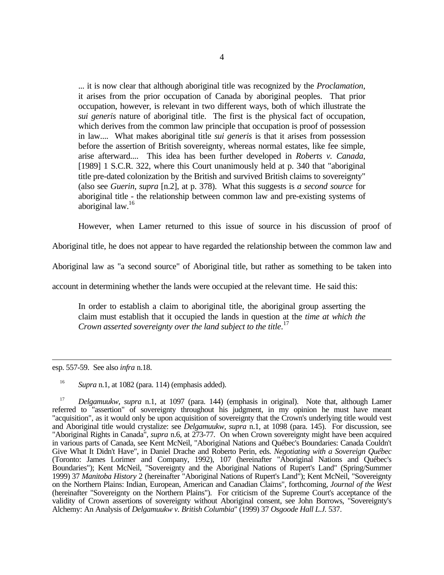... it is now clear that although aboriginal title was recognized by the *Proclamation*, it arises from the prior occupation of Canada by aboriginal peoples. That prior occupation, however, is relevant in two different ways, both of which illustrate the *sui generis* nature of aboriginal title. The first is the physical fact of occupation, which derives from the common law principle that occupation is proof of possession in law.... What makes aboriginal title *sui generis* is that it arises from possession before the assertion of British sovereignty, whereas normal estates, like fee simple, arise afterward.... This idea has been further developed in *Roberts v. Canada*, [1989] 1 S.C.R. 322, where this Court unanimously held at p. 340 that "aboriginal title pre-dated colonization by the British and survived British claims to sovereignty" (also see *Guerin*, *supra* [n.2], at p. 378). What this suggests is *a second source* for aboriginal title - the relationship between common law and pre-existing systems of aboriginal law.<sup>16</sup>

However, when Lamer returned to this issue of source in his discussion of proof of

Aboriginal title, he does not appear to have regarded the relationship between the common law and

Aboriginal law as "a second source" of Aboriginal title, but rather as something to be taken into

account in determining whether the lands were occupied at the relevant time. He said this:

In order to establish a claim to aboriginal title, the aboriginal group asserting the claim must establish that it occupied the lands in question at the *time at which the Crown asserted sovereignty over the land subject to the title*. 17

 $\overline{a}$ esp. 557-59. See also *infra* n.18.

<sup>16</sup> *Supra* n.1, at 1082 (para. 114) (emphasis added).

<sup>17</sup> *Delgamuukw*, *supra* n.1, at 1097 (para. 144) (emphasis in original). Note that, although Lamer referred to "assertion" of sovereignty throughout his judgment, in my opinion he must have meant "acquisition", as it would only be upon acquisition of sovereignty that the Crown's underlying title would vest and Aboriginal title would crystalize: see *Delgamuukw*, *supra* n.1, at 1098 (para. 145). For discussion, see "Aboriginal Rights in Canada", *supra* n.6, at 273-77. On when Crown sovereignty might have been acquired in various parts of Canada, see Kent McNeil, "Aboriginal Nations and Québec's Boundaries: Canada Couldn't Give What It Didn't Have", in Daniel Drache and Roberto Perin, eds. *Negotiating with a Sovereign Québec* (Toronto: James Lorimer and Company, 1992), 107 (hereinafter "Aboriginal Nations and Québec's Boundaries"); Kent McNeil, "Sovereignty and the Aboriginal Nations of Rupert's Land" (Spring/Summer 1999) 37 *Manitoba History* 2 (hereinafter "Aboriginal Nations of Rupert's Land"); Kent McNeil, "Sovereignty on the Northern Plains: Indian, European, American and Canadian Claims", forthcoming, *Journal of the West* (hereinafter "Sovereignty on the Northern Plains"). For criticism of the Supreme Court's acceptance of the validity of Crown assertions of sovereignty without Aboriginal consent, see John Borrows, "Sovereignty's Alchemy: An Analysis of *Delgamuukw v. British Columbia*" (1999) 37 *Osgoode Hall L.J.* 537.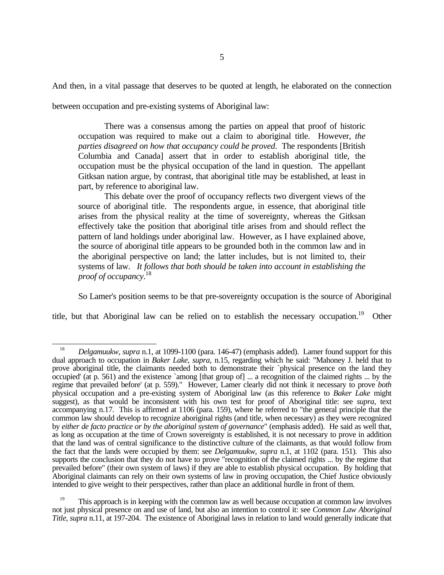And then, in a vital passage that deserves to be quoted at length, he elaborated on the connection

between occupation and pre-existing systems of Aboriginal law:

There was a consensus among the parties on appeal that proof of historic occupation was required to make out a claim to aboriginal title. However, *the parties disagreed on how that occupancy could be proved*. The respondents [British Columbia and Canada] assert that in order to establish aboriginal title, the occupation must be the physical occupation of the land in question. The appellant Gitksan nation argue, by contrast, that aboriginal title may be established, at least in part, by reference to aboriginal law.

This debate over the proof of occupancy reflects two divergent views of the source of aboriginal title. The respondents argue, in essence, that aboriginal title arises from the physical reality at the time of sovereignty, whereas the Gitksan effectively take the position that aboriginal title arises from and should reflect the pattern of land holdings under aboriginal law. However, as I have explained above, the source of aboriginal title appears to be grounded both in the common law and in the aboriginal perspective on land; the latter includes, but is not limited to, their systems of law. *It follows that both should be taken into account in establishing the proof of occupancy.*<sup>18</sup>

So Lamer's position seems to be that pre-sovereignty occupation is the source of Aboriginal

title, but that Aboriginal law can be relied on to establish the necessary occupation.<sup>19</sup> Other

 $\overline{a}$ <sup>18</sup> *Delgamuukw*, *supra* n.1, at 1099-1100 (para. 146-47) (emphasis added). Lamer found support for this dual approach to occupation in *Baker Lake*, *supra*, n.15, regarding which he said: "Mahoney J. held that to prove aboriginal title, the claimants needed both to demonstrate their `physical presence on the land they occupied' (at p. 561) and the existence `among [that group of] ... a recognition of the claimed rights ... by the regime that prevailed before' (at p. 559)." However, Lamer clearly did not think it necessary to prove *both* physical occupation and a pre-existing system of Aboriginal law (as this reference to *Baker Lake* might suggest), as that would be inconsistent with his own test for proof of Aboriginal title: see *supra*, text accompanying n.17. This is affirmed at 1106 (para. 159), where he referred to "the general principle that the common law should develop to recognize aboriginal rights (and title, when necessary) as they were recognized by *either de facto practice or by the aboriginal system of governance*" (emphasis added). He said as well that, as long as occupation at the time of Crown sovereignty is established, it is not necessary to prove in addition that the land was of central significance to the distinctive culture of the claimants, as that would follow from the fact that the lands were occupied by them: see *Delgamuukw*, *supra* n.1, at 1102 (para. 151). This also supports the conclusion that they do not have to prove "recognition of the claimed rights ... by the regime that prevailed before" (their own system of laws) if they are able to establish physical occupation. By holding that Aboriginal claimants can rely on their own systems of law in proving occupation, the Chief Justice obviously intended to give weight to their perspectives, rather than place an additional hurdle in front of them.

<sup>&</sup>lt;sup>19</sup> This approach is in keeping with the common law as well because occupation at common law involves not just physical presence on and use of land, but also an intention to control it: see *Common Law Aboriginal Title*, *supra* n.11, at 197-204. The existence of Aboriginal laws in relation to land would generally indicate that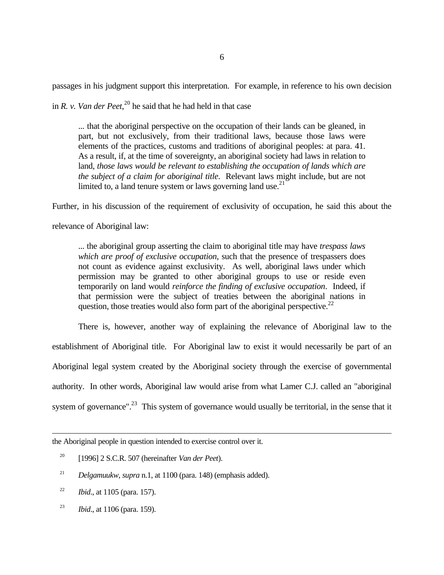passages in his judgment support this interpretation. For example, in reference to his own decision

in *R. v. Van der Peet*, <sup>20</sup> he said that he had held in that case

... that the aboriginal perspective on the occupation of their lands can be gleaned, in part, but not exclusively, from their traditional laws, because those laws were elements of the practices, customs and traditions of aboriginal peoples: at para. 41. As a result, if, at the time of sovereignty, an aboriginal society had laws in relation to land, *those laws would be relevant to establishing the occupation of lands which are the subject of a claim for aboriginal title*. Relevant laws might include, but are not limited to, a land tenure system or laws governing land use.<sup>21</sup>

Further, in his discussion of the requirement of exclusivity of occupation, he said this about the

relevance of Aboriginal law:

... the aboriginal group asserting the claim to aboriginal title may have *trespass laws which are proof of exclusive occupation*, such that the presence of trespassers does not count as evidence against exclusivity. As well, aboriginal laws under which permission may be granted to other aboriginal groups to use or reside even temporarily on land would *reinforce the finding of exclusive occupation*. Indeed, if that permission were the subject of treaties between the aboriginal nations in question, those treaties would also form part of the aboriginal perspective.<sup>22</sup>

There is, however, another way of explaining the relevance of Aboriginal law to the establishment of Aboriginal title. For Aboriginal law to exist it would necessarily be part of an Aboriginal legal system created by the Aboriginal society through the exercise of governmental authority. In other words, Aboriginal law would arise from what Lamer C.J. called an "aboriginal system of governance".<sup>23</sup> This system of governance would usually be territorial, in the sense that it

 $\overline{a}$ the Aboriginal people in question intended to exercise control over it.

- <sup>20</sup> [1996] 2 S.C.R. 507 (hereinafter *Van der Peet*).
- <sup>21</sup> *Delgamuukw*, *supra* n.1, at 1100 (para. 148) (emphasis added).
- <sup>22</sup> *Ibid*., at 1105 (para. 157).
- <sup>23</sup> *Ibid*., at 1106 (para. 159).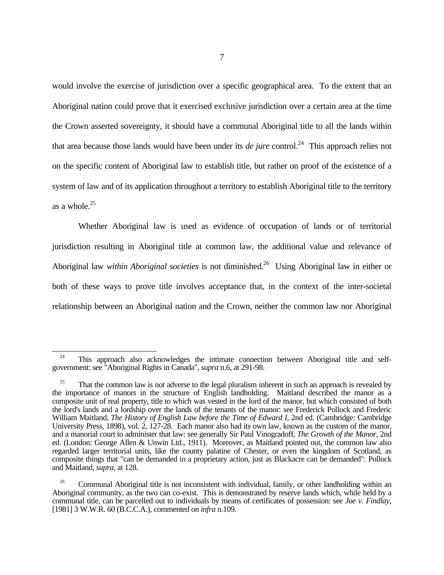would involve the exercise of jurisdiction over a specific geographical area. To the extent that an Aboriginal nation could prove that it exercised exclusive jurisdiction over a certain area at the time the Crown asserted sovereignty, it should have a communal Aboriginal title to all the lands within that area because those lands would have been under its *de jure* control.<sup>24</sup> This approach relies not on the specific content of Aboriginal law to establish title, but rather on proof of the existence of a system of law and of its application throughout a territory to establish Aboriginal title to the territory as a whole. $25$ 

Whether Aboriginal law is used as evidence of occupation of lands or of territorial jurisdiction resulting in Aboriginal title at common law, the additional value and relevance of Aboriginal law *within Aboriginal societies* is not diminished.<sup>26</sup> Using Aboriginal law in either or both of these ways to prove title involves acceptance that, in the context of the inter-societal relationship between an Aboriginal nation and the Crown, neither the common law nor Aboriginal

 $\overline{a}$ 

<sup>&</sup>lt;sup>24</sup> This approach also acknowledges the intimate connection between Aboriginal title and selfgovernment: see "Aboriginal Rights in Canada", *supra* n.6, at 291-98.

<sup>25</sup> That the common law is not adverse to the legal pluralism inherent in such an approach is revealed by the importance of manors in the structure of English landholding. Maitland described the manor as a composite unit of real property, title to which was vested in the lord of the manor, but which consisted of both the lord's lands and a lordship over the lands of the tenants of the manor: see Frederick Pollock and Frederic William Maitland, *The History of English Law before the Time of Edward I*, 2nd ed. (Cambridge: Cambridge University Press, 1898), vol. 2, 127-28. Each manor also had its own law, known as the custom of the manor, and a manorial court to administer that law: see generally Sir Paul Vinogradoff, *The Growth of the Manor*, 2nd ed. (London: George Allen & Unwin Ltd., 1911). Moreover, as Maitland pointed out, the common law also regarded larger territorial units, like the county palatine of Chester, or even the kingdom of Scotland, as composite things that "can be demanded in a proprietary action, just as Blackacre can be demanded": Pollock and Maitland, *supra*, at 128.

<sup>&</sup>lt;sup>26</sup> Communal Aboriginal title is not inconsistent with individual, family, or other landholding within an Aboriginal community, as the two can co-exist. This is demonstrated by reserve lands which, while held by a communal title, can be parcelled out to individuals by means of certificates of possession: see *Joe v. Findlay*, [1981] 3 W.W.R. 60 (B.C.C.A.), commented on *infra* n.109.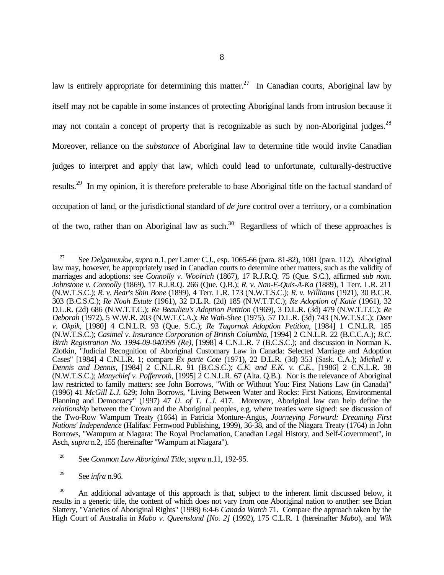law is entirely appropriate for determining this matter.<sup>27</sup> In Canadian courts, Aboriginal law by itself may not be capable in some instances of protecting Aboriginal lands from intrusion because it may not contain a concept of property that is recognizable as such by non-Aboriginal judges.<sup>28</sup> Moreover, reliance on the *substance* of Aboriginal law to determine title would invite Canadian judges to interpret and apply that law, which could lead to unfortunate, culturally-destructive results.<sup>29</sup> In my opinion, it is therefore preferable to base Aboriginal title on the factual standard of occupation of land, or the jurisdictional standard of *de jure* control over a territory, or a combination of the two, rather than on Aboriginal law as such.<sup>30</sup> Regardless of which of these approaches is

<sup>-</sup><sup>27</sup> See *Delgamuukw*, *supra* n.1, per Lamer C.J., esp. 1065-66 (para. 81-82), 1081 (para. 112). Aboriginal law may, however, be appropriately used in Canadian courts to determine other matters, such as the validity of marriages and adoptions: see *Connolly v. Woolrich* (1867), 17 R.J.R.Q. 75 (Que. S.C.), affirmed *sub nom. Johnstone v. Connolly* (1869), 17 R.J.R.Q. 266 (Que. Q.B.); *R. v. Nan-E-Quis-A-Ka* (1889), 1 Terr. L.R. 211 (N.W.T.S.C.); *R. v. Bear's Shin Bone* (1899), 4 Terr. L.R. 173 (N.W.T.S.C.); *R. v. Williams* (1921), 30 B.C.R. 303 (B.C.S.C.); *Re Noah Estate* (1961), 32 D.L.R. (2d) 185 (N.W.T.T.C.); *Re Adoption of Katie* (1961), 32 D.L.R. (2d) 686 (N.W.T.T.C.); *Re Beaulieu's Adoption Petition* (1969), 3 D.L.R. (3d) 479 (N.W.T.T.C.); *Re Deborah* (1972), 5 W.W.R. 203 (N.W.T.C.A.); *Re Wah-Shee* (1975), 57 D.L.R. (3d) 743 (N.W.T.S.C.); *Deer v. Okpik*, [1980] 4 C.N.L.R. 93 (Que. S.C.); *Re Tagornak Adoption Petition*, [1984] 1 C.N.L.R. 185 (N.W.T.S.C.); *Casimel v. Insurance Corporation of British Columbia*, [1994] 2 C.N.L.R. 22 (B.C.C.A.); *B.C. Birth Registration No. 1994-09-040399 (Re)*, [1998] 4 C.N.L.R. 7 (B.C.S.C.); and discussion in Norman K. Zlotkin, "Judicial Recognition of Aboriginal Customary Law in Canada: Selected Marriage and Adoption Cases" [1984] 4 C.N.L.R. 1; compare *Ex parte Cote* (1971), 22 D.L.R. (3d) 353 (Sask. C.A.); *Michell v. Dennis and Dennis*, [1984] 2 C.N.L.R. 91 (B.C.S.C.); *C.K. and E.K. v. C.E.*, [1986] 2 C.N.L.R. 38 (N.W.T.S.C.); *Manychief v. Poffenroth*, [1995] 2 C.N.L.R. 67 (Alta. Q.B.). Nor is the relevance of Aboriginal law restricted to family matters: see John Borrows, "With or Without You: First Nations Law (in Canada)" (1996) 41 *McGill L.J.* 629; John Borrows, "Living Between Water and Rocks: First Nations, Environmental Planning and Democracy" (1997) 47 *U. of T. L.J.* 417. Moreover, Aboriginal law can help define the *relationship* between the Crown and the Aboriginal peoples, e.g. where treaties were signed: see discussion of the Two-Row Wampum Treaty (1664) in Patricia Monture-Angus, *Journeying Forward: Dreaming First Nations' Independence* (Halifax: Fernwood Publishing, 1999), 36-38, and of the Niagara Treaty (1764) in John Borrows, "Wampum at Niagara: The Royal Proclamation, Canadian Legal History, and Self-Government", in Asch, *supra* n.2, 155 (hereinafter "Wampum at Niagara").

<sup>28</sup> See *Common Law Aboriginal Title*, *supra* n.11, 192-95.

<sup>29</sup> See *infra* n.96.

<sup>&</sup>lt;sup>30</sup> An additional advantage of this approach is that, subject to the inherent limit discussed below, it results in a generic title, the content of which does not vary from one Aboriginal nation to another: see Brian Slattery, "Varieties of Aboriginal Rights" (1998) 6:4-6 *Canada Watch* 71. Compare the approach taken by the High Court of Australia in *Mabo v. Queensland [No. 2]* (1992), 175 C.L.R. 1 (hereinafter *Mabo*), and *Wik*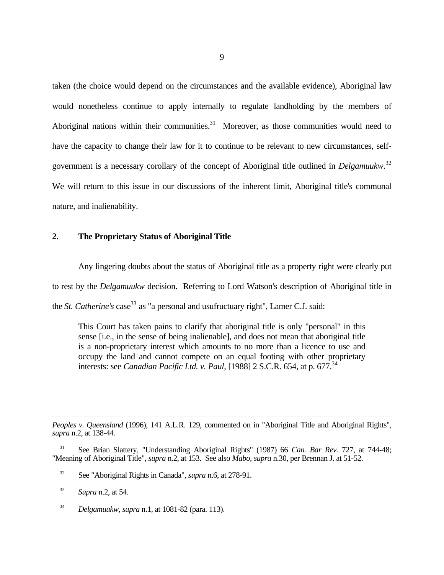taken (the choice would depend on the circumstances and the available evidence), Aboriginal law would nonetheless continue to apply internally to regulate landholding by the members of Aboriginal nations within their communities. $31$  Moreover, as those communities would need to have the capacity to change their law for it to continue to be relevant to new circumstances, selfgovernment is a necessary corollary of the concept of Aboriginal title outlined in *Delgamuukw*. 32 We will return to this issue in our discussions of the inherent limit, Aboriginal title's communal nature, and inalienability.

# **2. The Proprietary Status of Aboriginal Title**

Any lingering doubts about the status of Aboriginal title as a property right were clearly put to rest by the *Delgamuukw* decision. Referring to Lord Watson's description of Aboriginal title in the *St. Catherine's* case<sup>33</sup> as "a personal and usufructuary right", Lamer C.J. said:

This Court has taken pains to clarify that aboriginal title is only "personal" in this sense [i.e., in the sense of being inalienable], and does not mean that aboriginal title is a non-proprietary interest which amounts to no more than a licence to use and occupy the land and cannot compete on an equal footing with other proprietary interests: see *Canadian Pacific Ltd. v. Paul*, [1988] 2 S.C.R. 654, at p. 677.<sup>34</sup>

*Peoples v. Queensland* (1996), 141 A.L.R. 129, commented on in "Aboriginal Title and Aboriginal Rights", *supra* n.2, at 138-44.

<sup>31</sup> See Brian Slattery, "Understanding Aboriginal Rights" (1987) 66 *Can. Bar Rev.* 727, at 744-48; "Meaning of Aboriginal Title", *supra* n.2, at 153. See also *Mabo*, *supra* n.30, per Brennan J. at 51-52.

<sup>32</sup> See "Aboriginal Rights in Canada", *supra* n.6, at 278-91.

<sup>33</sup> *Supra* n.2, at 54.

 $\overline{a}$ 

<sup>34</sup> *Delgamuukw*, *supra* n.1, at 1081-82 (para. 113).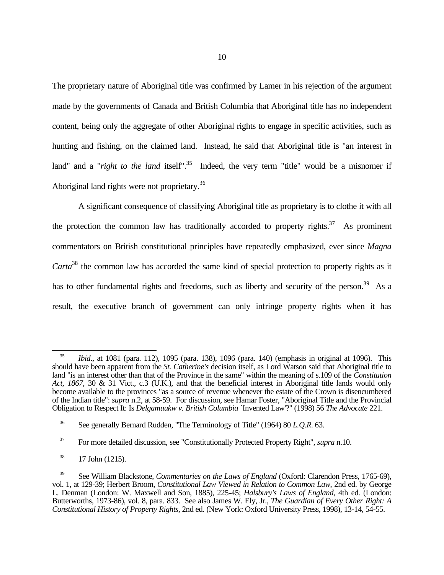The proprietary nature of Aboriginal title was confirmed by Lamer in his rejection of the argument made by the governments of Canada and British Columbia that Aboriginal title has no independent content, being only the aggregate of other Aboriginal rights to engage in specific activities, such as hunting and fishing, on the claimed land. Instead, he said that Aboriginal title is "an interest in land" and a "*right to the land* itself".<sup>35</sup> Indeed, the very term "title" would be a misnomer if Aboriginal land rights were not proprietary.<sup>36</sup>

A significant consequence of classifying Aboriginal title as proprietary is to clothe it with all the protection the common law has traditionally accorded to property rights.<sup>37</sup> As prominent commentators on British constitutional principles have repeatedly emphasized, ever since *Magna Carta*<sup>38</sup> the common law has accorded the same kind of special protection to property rights as it has to other fundamental rights and freedoms, such as liberty and security of the person.<sup>39</sup> As a result, the executive branch of government can only infringe property rights when it has

 $\overline{a}$ 

<sup>35</sup> *Ibid*., at 1081 (para. 112), 1095 (para. 138), 1096 (para. 140) (emphasis in original at 1096). This should have been apparent from the *St. Catherine's* decision itself, as Lord Watson said that Aboriginal title to land "is an interest other than that of the Province in the same" within the meaning of s.109 of the *Constitution Act, 1867*, 30 & 31 Vict., c.3 (U.K.), and that the beneficial interest in Aboriginal title lands would only become available to the provinces "as a source of revenue whenever the estate of the Crown is disencumbered of the Indian title": *supra* n.2, at 58-59. For discussion, see Hamar Foster, "Aboriginal Title and the Provincial Obligation to Respect It: Is *Delgamuukw v. British Columbia* `Invented Law'?" (1998) 56 *The Advocate* 221.

<sup>36</sup> See generally Bernard Rudden, "The Terminology of Title" (1964) 80 *L.Q.R.* 63.

<sup>37</sup> For more detailed discussion, see "Constitutionally Protected Property Right", *supra* n.10.

 $38$  17 John (1215).

<sup>39</sup> See William Blackstone, *Commentaries on the Laws of England* (Oxford: Clarendon Press, 1765-69), vol. 1, at 129-39; Herbert Broom, *Constitutional Law Viewed in Relation to Common Law*, 2nd ed. by George L. Denman (London: W. Maxwell and Son, 1885), 225-45; *Halsbury's Laws of England*, 4th ed. (London: Butterworths, 1973-86), vol. 8, para. 833. See also James W. Ely, Jr., *The Guardian of Every Other Right: A Constitutional History of Property Rights*, 2nd ed. (New York: Oxford University Press, 1998), 13-14, 54-55.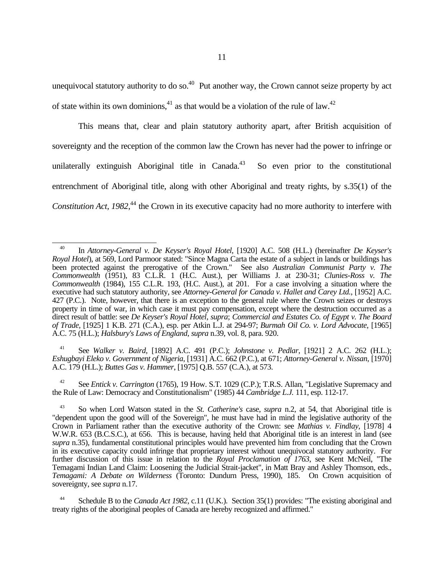unequivocal statutory authority to do so. $^{40}$  Put another way, the Crown cannot seize property by act of state within its own dominions,<sup>41</sup> as that would be a violation of the rule of law.<sup>42</sup>

This means that, clear and plain statutory authority apart, after British acquisition of sovereignty and the reception of the common law the Crown has never had the power to infringe or unilaterally extinguish Aboriginal title in Canada.<sup>43</sup> So even prior to the constitutional entrenchment of Aboriginal title, along with other Aboriginal and treaty rights, by s.35(1) of the Constitution Act, 1982,<sup>44</sup> the Crown in its executive capacity had no more authority to interfere with

 $\overline{a}$ 

<sup>41</sup> See *Walker v. Baird*, [1892] A.C. 491 (P.C.); *Johnstone v. Pedlar*, [1921] 2 A.C. 262 (H.L.); *Eshugbayi Eleko v. Government of Nigeria*, [1931] A.C. 662 (P.C.), at 671; *Attorney-General v. Nissan*, [1970] A.C. 179 (H.L.); *Buttes Gas v. Hammer*, [1975] Q.B. 557 (C.A.), at 573.

<sup>42</sup> See *Entick v. Carrington* (1765), 19 How. S.T. 1029 (C.P.); T.R.S. Allan, "Legislative Supremacy and the Rule of Law: Democracy and Constitutionalism" (1985) 44 *Cambridge L.J.* 111, esp. 112-17.

Schedule B to the *Canada Act 1982*, c.11 (U.K.). Section 35(1) provides: "The existing aboriginal and treaty rights of the aboriginal peoples of Canada are hereby recognized and affirmed."

<sup>40</sup> In *Attorney-General v. De Keyser's Royal Hotel*, [1920] A.C. 508 (H.L.) (hereinafter *De Keyser's Royal Hotel*), at 569, Lord Parmoor stated: "Since Magna Carta the estate of a subject in lands or buildings has been protected against the prerogative of the Crown." See also *Australian Communist Party v. The Commonwealth* (1951), 83 C.L.R. 1 (H.C. Aust.), per Williams J. at 230-31; *Clunies-Ross v. The Commonwealth* (1984), 155 C.L.R. 193, (H.C. Aust.), at 201. For a case involving a situation where the executive had such statutory authority, see *Attorney-General for Canada v. Hallet and Carey Ltd.*, [1952] A.C. 427 (P.C.). Note, however, that there is an exception to the general rule where the Crown seizes or destroys property in time of war, in which case it must pay compensation, except where the destruction occurred as a direct result of battle: see *De Keyser's Royal Hotel*, *supra*; *Commercial and Estates Co. of Egypt v. The Board of Trade*, [1925] 1 K.B. 271 (C.A.), esp. per Atkin L.J. at 294-97; *Burmah Oil Co. v. Lord Advocate*, [1965] A.C. 75 (H.L.); *Halsbury's Laws of England*, *supra* n.39, vol. 8, para. 920.

<sup>43</sup> So when Lord Watson stated in the *St. Catherine's* case, *supra* n.2, at 54, that Aboriginal title is "dependent upon the good will of the Sovereign", he must have had in mind the legislative authority of the Crown in Parliament rather than the executive authority of the Crown: see *Mathias v. Findlay*, [1978] 4 W.W.R. 653 (B.C.S.C.), at 656. This is because, having held that Aboriginal title is an interest in land (see *supra* n.35), fundamental constitutional principles would have prevented him from concluding that the Crown in its executive capacity could infringe that proprietary interest without unequivocal statutory authority. For further discussion of this issue in relation to the *Royal Proclamation of 1763*, see Kent McNeil, "The Temagami Indian Land Claim: Loosening the Judicial Strait-jacket", in Matt Bray and Ashley Thomson, eds., *Temagami: A Debate on Wilderness* (Toronto: Dundurn Press, 1990), 185. On Crown acquisition of sovereignty, see *supra* n.17.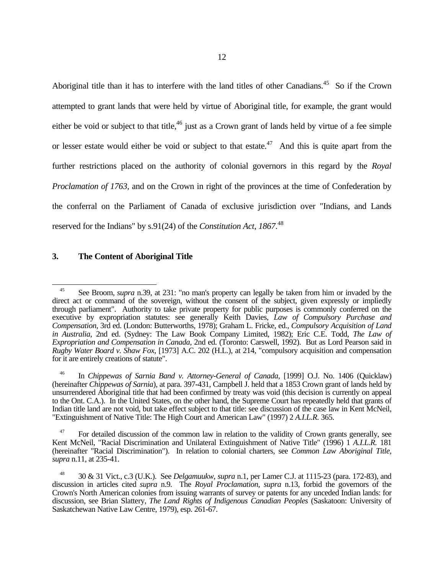Aboriginal title than it has to interfere with the land titles of other Canadians.<sup>45</sup> So if the Crown attempted to grant lands that were held by virtue of Aboriginal title, for example, the grant would either be void or subject to that title,<sup>46</sup> just as a Crown grant of lands held by virtue of a fee simple or lesser estate would either be void or subject to that estate.<sup>47</sup> And this is quite apart from the further restrictions placed on the authority of colonial governors in this regard by the *Royal Proclamation of 1763*, and on the Crown in right of the provinces at the time of Confederation by the conferral on the Parliament of Canada of exclusive jurisdiction over "Indians, and Lands reserved for the Indians" by s.91(24) of the *Constitution Act, 1867*.<sup>48</sup>

# **3. The Content of Aboriginal Title**

 $\overline{a}$ <sup>45</sup> See Broom, *supra* n.39, at 231: "no man's property can legally be taken from him or invaded by the direct act or command of the sovereign, without the consent of the subject, given expressly or impliedly through parliament". Authority to take private property for public purposes is commonly conferred on the executive by expropriation statutes: see generally Keith Davies, *Law of Compulsory Purchase and Compensation*, 3rd ed. (London: Butterworths, 1978); Graham L. Fricke, ed., *Compulsory Acquisition of Land in Australia*, 2nd ed. (Sydney: The Law Book Company Limited, 1982); Eric C.E. Todd, *The Law of Expropriation and Compensation in Canada*, 2nd ed. (Toronto: Carswell, 1992). But as Lord Pearson said in *Rugby Water Board v. Shaw Fox*, [1973] A.C. 202 (H.L.), at 214, "compulsory acquisition and compensation for it are entirely creations of statute".

<sup>46</sup> In *Chippewas of Sarnia Band v. Attorney-General of Canada*, [1999] O.J. No. 1406 (Quicklaw) (hereinafter *Chippewas of Sarnia*), at para. 397-431, Campbell J. held that a 1853 Crown grant of lands held by unsurrendered Aboriginal title that had been confirmed by treaty was void (this decision is currently on appeal to the Ont. C.A.). In the United States, on the other hand, the Supreme Court has repeatedly held that grants of Indian title land are not void, but take effect subject to that title: see discussion of the case law in Kent McNeil, "Extinguishment of Native Title: The High Court and American Law" (1997) 2 *A.I.L.R.* 365.

 $47$  For detailed discussion of the common law in relation to the validity of Crown grants generally, see Kent McNeil, "Racial Discrimination and Unilateral Extinguishment of Native Title" (1996) 1 *A.I.L.R.* 181 (hereinafter "Racial Discrimination"). In relation to colonial charters, see *Common Law Aboriginal Title*, *supra* n.11, at 235-41.

<sup>48</sup> 30 & 31 Vict., c.3 (U.K.). See *Delgamuukw*, *supra* n.1, per Lamer C.J. at 1115-23 (para. 172-83), and discussion in articles cited *supra* n.9. The *Royal Proclamation*, *supra* n.13, forbid the governors of the Crown's North American colonies from issuing warrants of survey or patents for any unceded Indian lands: for discussion, see Brian Slattery, *The Land Rights of Indigenous Canadian Peoples* (Saskatoon: University of Saskatchewan Native Law Centre, 1979), esp. 261-67.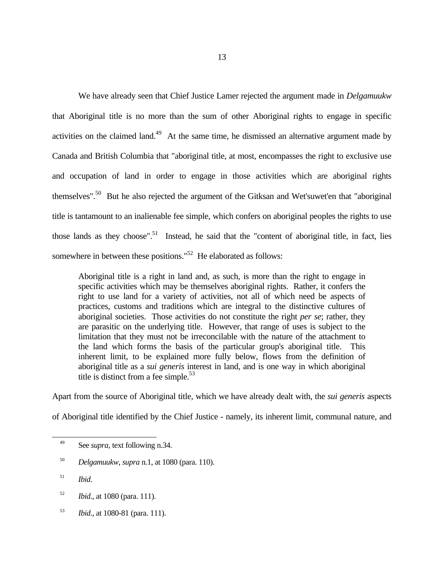We have already seen that Chief Justice Lamer rejected the argument made in *Delgamuukw* that Aboriginal title is no more than the sum of other Aboriginal rights to engage in specific activities on the claimed land.<sup>49</sup> At the same time, he dismissed an alternative argument made by Canada and British Columbia that "aboriginal title, at most, encompasses the right to exclusive use and occupation of land in order to engage in those activities which are aboriginal rights themselves".<sup>50</sup> But he also rejected the argument of the Gitksan and Wet'suwet'en that "aboriginal title is tantamount to an inalienable fee simple, which confers on aboriginal peoples the rights to use those lands as they choose".<sup>51</sup> Instead, he said that the "content of aboriginal title, in fact, lies somewhere in between these positions."<sup>52</sup> He elaborated as follows:

Aboriginal title is a right in land and, as such, is more than the right to engage in specific activities which may be themselves aboriginal rights. Rather, it confers the right to use land for a variety of activities, not all of which need be aspects of practices, customs and traditions which are integral to the distinctive cultures of aboriginal societies. Those activities do not constitute the right *per se*; rather, they are parasitic on the underlying title. However, that range of uses is subject to the limitation that they must not be irreconcilable with the nature of the attachment to the land which forms the basis of the particular group's aboriginal title. This inherent limit, to be explained more fully below, flows from the definition of aboriginal title as a *sui generis* interest in land, and is one way in which aboriginal title is distinct from a fee simple.<sup>53</sup>

Apart from the source of Aboriginal title, which we have already dealt with, the *sui generis* aspects of Aboriginal title identified by the Chief Justice - namely, its inherent limit, communal nature, and

 $\overline{a}$ <sup>49</sup> See *supra*, text following n.34.

<sup>50</sup> *Delgamuukw*, *supra* n.1, at 1080 (para. 110).

<sup>51</sup> *Ibid*.

<sup>52</sup> *Ibid*., at 1080 (para. 111).

<sup>53</sup> *Ibid*., at 1080-81 (para. 111).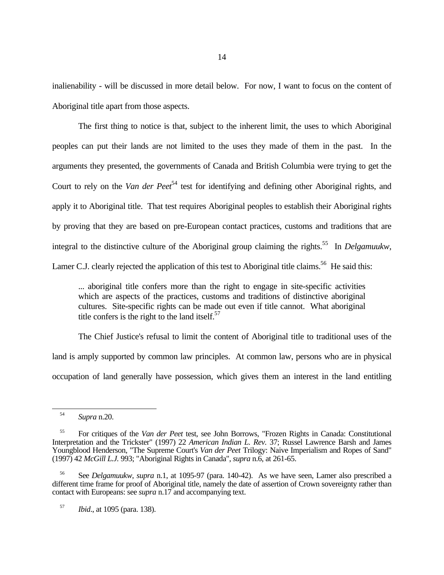inalienability - will be discussed in more detail below. For now, I want to focus on the content of Aboriginal title apart from those aspects.

The first thing to notice is that, subject to the inherent limit, the uses to which Aboriginal peoples can put their lands are not limited to the uses they made of them in the past. In the arguments they presented, the governments of Canada and British Columbia were trying to get the Court to rely on the *Van der Peet*<sup>54</sup> test for identifying and defining other Aboriginal rights, and apply it to Aboriginal title. That test requires Aboriginal peoples to establish their Aboriginal rights by proving that they are based on pre-European contact practices, customs and traditions that are integral to the distinctive culture of the Aboriginal group claiming the rights.<sup>55</sup> In *Delgamuukw*, Lamer C.J. clearly rejected the application of this test to Aboriginal title claims.<sup>56</sup> He said this:

... aboriginal title confers more than the right to engage in site-specific activities which are aspects of the practices, customs and traditions of distinctive aboriginal cultures. Site-specific rights can be made out even if title cannot. What aboriginal title confers is the right to the land itself. $57$ 

The Chief Justice's refusal to limit the content of Aboriginal title to traditional uses of the land is amply supported by common law principles. At common law, persons who are in physical occupation of land generally have possession, which gives them an interest in the land entitling

<sup>54</sup> *Supra* n.20.

<sup>55</sup> For critiques of the *Van der Peet* test, see John Borrows, "Frozen Rights in Canada: Constitutional Interpretation and the Trickster" (1997) 22 *American Indian L. Rev.* 37; Russel Lawrence Barsh and James Youngblood Henderson, "The Supreme Court's *Van der Peet* Trilogy: Naive Imperialism and Ropes of Sand" (1997) 42 *McGill L.J.* 993; "Aboriginal Rights in Canada", *supra* n.6, at 261-65.

<sup>56</sup> See *Delgamuukw*, *supra* n.1, at 1095-97 (para. 140-42). As we have seen, Lamer also prescribed a different time frame for proof of Aboriginal title, namely the date of assertion of Crown sovereignty rather than contact with Europeans: see *supra* n.17 and accompanying text.

<sup>57</sup> *Ibid*., at 1095 (para. 138).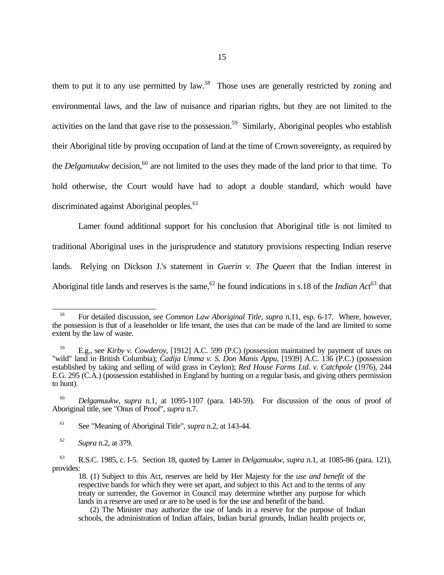them to put it to any use permitted by law.<sup>58</sup> Those uses are generally restricted by zoning and environmental laws, and the law of nuisance and riparian rights, but they are not limited to the activities on the land that gave rise to the possession.<sup>59</sup> Similarly, Aboriginal peoples who establish their Aboriginal title by proving occupation of land at the time of Crown sovereignty, as required by the *Delgamuukw* decision,<sup>60</sup> are not limited to the uses they made of the land prior to that time. To hold otherwise, the Court would have had to adopt a double standard, which would have discriminated against Aboriginal peoples.<sup>61</sup>

Lamer found additional support for his conclusion that Aboriginal title is not limited to traditional Aboriginal uses in the jurisprudence and statutory provisions respecting Indian reserve lands. Relying on Dickson J.'s statement in *Guerin v. The Queen* that the Indian interest in Aboriginal title lands and reserves is the same,<sup>62</sup> he found indications in s.18 of the *Indian Act*<sup>63</sup> that

-

<sup>58</sup> For detailed discussion, see *Common Law Aboriginal Title*, *supra* n.11, esp. 6-17. Where, however, the possession is that of a leaseholder or life tenant, the uses that can be made of the land are limited to some extent by the law of waste.

<sup>59</sup> E.g., see *Kirby v. Cowderoy*, [1912] A.C. 599 (P.C) (possession maintained by payment of taxes on "wild" land in British Columbia); *Cadija Umma v. S. Don Manis Appu*, [1939] A.C. 136 (P.C.) (possession established by taking and selling of wild grass in Ceylon); *Red House Farms Ltd. v. Catchpole* (1976), 244 E.G. 295 (C.A.) (possession established in England by hunting on a regular basis, and giving others permission to hunt).

<sup>60</sup> *Delgamuukw*, *supra* n.1, at 1095-1107 (para. 140-59). For discussion of the onus of proof of Aboriginal title, see "Onus of Proof", *supra* n.7.

<sup>61</sup> See "Meaning of Aboriginal Title", *supra* n.2, at 143-44.

<sup>62</sup> *Supra* n.2, at 379.

<sup>63</sup> R.S.C. 1985, c. I-5. Section 18, quoted by Lamer in *Delgamuukw*, *supra* n.1, at 1085-86 (para. 121), provides:

<sup>18. (1)</sup> Subject to this Act, reserves are held by Her Majesty for the *use and benefit* of the respective bands for which they were set apart, and subject to this Act and to the terms of any treaty or surrender, the Governor in Council may determine whether any purpose for which lands in a reserve are used or are to be used is for the use and benefit of the band.

 <sup>(2)</sup> The Minister may authorize the use of lands in a reserve for the purpose of Indian schools, the administration of Indian affairs, Indian burial grounds, Indian health projects or,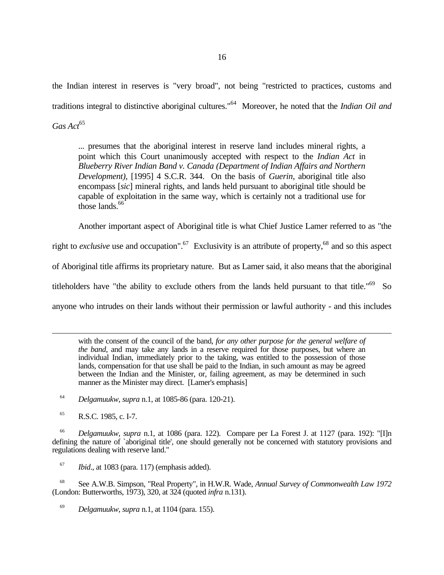the Indian interest in reserves is "very broad", not being "restricted to practices, customs and traditions integral to distinctive aboriginal cultures."<sup>64</sup> Moreover, he noted that the *Indian Oil and* Gas Act<sup>65</sup>

... presumes that the aboriginal interest in reserve land includes mineral rights, a point which this Court unanimously accepted with respect to the *Indian Act* in *Blueberry River Indian Band v. Canada (Department of Indian Affairs and Northern Development)*, [1995] 4 S.C.R. 344. On the basis of *Guerin*, aboriginal title also encompass [*sic*] mineral rights, and lands held pursuant to aboriginal title should be capable of exploitation in the same way, which is certainly not a traditional use for those lands. $66$ 

Another important aspect of Aboriginal title is what Chief Justice Lamer referred to as "the

right to *exclusive* use and occupation".<sup>67</sup> Exclusivity is an attribute of property,<sup>68</sup> and so this aspect of Aboriginal title affirms its proprietary nature. But as Lamer said, it also means that the aboriginal titleholders have "the ability to exclude others from the lands held pursuant to that title."<sup>69</sup> So

anyone who intrudes on their lands without their permission or lawful authority - and this includes

with the consent of the council of the band, *for any other purpose for the general welfare of the band*, and may take any lands in a reserve required for those purposes, but where an individual Indian, immediately prior to the taking, was entitled to the possession of those lands, compensation for that use shall be paid to the Indian, in such amount as may be agreed between the Indian and the Minister, or, failing agreement, as may be determined in such manner as the Minister may direct. [Lamer's emphasis]

<sup>64</sup> *Delgamuukw*, *supra* n.1, at 1085-86 (para. 120-21).

<sup>65</sup> R.S.C. 1985, c. I-7.

 $\overline{a}$ 

<sup>66</sup> *Delgamuukw*, *supra* n.1, at 1086 (para. 122). Compare per La Forest J. at 1127 (para. 192): "[I]n defining the nature of `aboriginal title', one should generally not be concerned with statutory provisions and regulations dealing with reserve land."

<sup>67</sup> *Ibid*., at 1083 (para. 117) (emphasis added).

<sup>68</sup> See A.W.B. Simpson, "Real Property", in H.W.R. Wade, *Annual Survey of Commonwealth Law 1972* (London: Butterworths, 1973), 320, at 324 (quoted *infra* n.131).

<sup>69</sup> *Delgamuukw*, *supra* n.1, at 1104 (para. 155).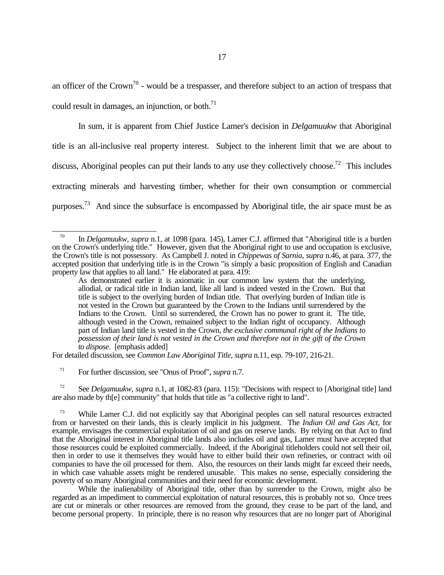an officer of the Crown<sup>70</sup> - would be a trespasser, and therefore subject to an action of trespass that could result in damages, an injunction, or both. $^{71}$ 

In sum, it is apparent from Chief Justice Lamer's decision in *Delgamuukw* that Aboriginal title is an all-inclusive real property interest. Subject to the inherent limit that we are about to discuss, Aboriginal peoples can put their lands to any use they collectively choose.<sup>72</sup> This includes extracting minerals and harvesting timber, whether for their own consumption or commercial purposes.<sup>73</sup> And since the subsurface is encompassed by Aboriginal title, the air space must be as

For detailed discussion, see *Common Law Aboriginal Title*, *supra* n.11, esp. 79-107, 216-21.

<sup>71</sup> For further discussion, see "Onus of Proof", *supra* n.7.

 $\overline{a}$ 

<sup>72</sup> See *Delgamuukw*, *supra* n.1, at 1082-83 (para. 115): "Decisions with respect to [Aboriginal title] land are also made by the community" that holds that title as "a collective right to land".

While the inalienability of Aboriginal title, other than by surrender to the Crown, might also be regarded as an impediment to commercial exploitation of natural resources, this is probably not so. Once trees are cut or minerals or other resources are removed from the ground, they cease to be part of the land, and become personal property. In principle, there is no reason why resources that are no longer part of Aboriginal

<sup>70</sup> In *Delgamuukw*, *supra* n.1, at 1098 (para. 145), Lamer C.J. affirmed that "Aboriginal title is a burden on the Crown's underlying title." However, given that the Aboriginal right to use and occupation is exclusive, the Crown's title is not possessory. As Campbell J. noted in *Chippewas of Sarnia*, *supra* n.46, at para. 377, the accepted position that underlying title is in the Crown "is simply a basic proposition of English and Canadian property law that applies to all land." He elaborated at para. 419:

As demonstrated earlier it is axiomatic in our common law system that the underlying, allodial, or radical title in Indian land, like all land is indeed vested in the Crown. But that title is subject to the overlying burden of Indian title. That overlying burden of Indian title is not vested in the Crown but guaranteed by the Crown to the Indians until surrendered by the Indians to the Crown. Until so surrendered, the Crown has no power to grant it. The title, although vested in the Crown, remained subject to the Indian right of occupancy. Although part of Indian land title is vested in the Crown, *the exclusive communal right of the Indians to possession of their land is not vested in the Crown and therefore not in the gift of the Crown to dispose*. [emphasis added]

<sup>&</sup>lt;sup>73</sup> While Lamer C.J. did not explicitly say that Aboriginal peoples can sell natural resources extracted from or harvested on their lands, this is clearly implicit in his judgment. The *Indian Oil and Gas Act*, for example, envisages the commercial exploitation of oil and gas on reserve lands. By relying on that Act to find that the Aboriginal interest in Aboriginal title lands also includes oil and gas, Lamer must have accepted that those resources could be exploited commercially. Indeed, if the Aboriginal titleholders could not sell their oil, then in order to use it themselves they would have to either build their own refineries, or contract with oil companies to have the oil processed for them. Also, the resources on their lands might far exceed their needs, in which case valuable assets might be rendered unusable. This makes no sense, especially considering the poverty of so many Aboriginal communities and their need for economic development.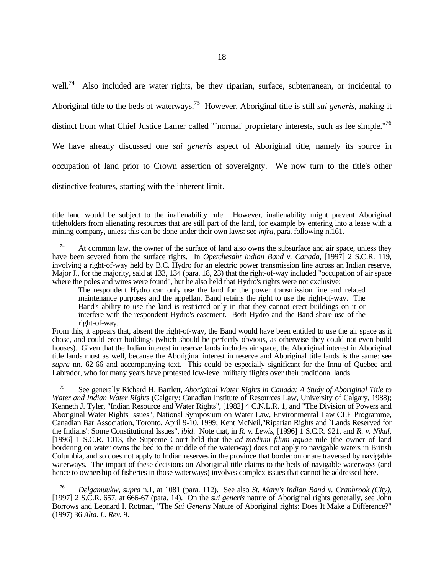well.<sup>74</sup> Also included are water rights, be they riparian, surface, subterranean, or incidental to Aboriginal title to the beds of waterways.<sup>75</sup> However, Aboriginal title is still *sui generis*, making it distinct from what Chief Justice Lamer called "`normal' proprietary interests, such as fee simple."<sup>76</sup> We have already discussed one *sui generis* aspect of Aboriginal title, namely its source in occupation of land prior to Crown assertion of sovereignty. We now turn to the title's other distinctive features, starting with the inherent limit.

 $\overline{a}$ title land would be subject to the inalienability rule. However, inalienability might prevent Aboriginal titleholders from alienating resources that are still part of the land, for example by entering into a lease with a mining company, unless this can be done under their own laws: see *infra*, para. following n.161.

 $74$  At common law, the owner of the surface of land also owns the subsurface and air space, unless they have been severed from the surface rights. In *Opetchesaht Indian Band v. Canada*, [1997] 2 S.C.R. 119, involving a right-of-way held by B.C. Hydro for an electric power transmission line across an Indian reserve, Major J., for the majority, said at 133, 134 (para. 18, 23) that the right-of-way included "occupation of air space where the poles and wires were found", but he also held that Hydro's rights were not exclusive:

The respondent Hydro can only use the land for the power transmission line and related maintenance purposes and the appellant Band retains the right to use the right-of-way. The Band's ability to use the land is restricted only in that they cannot erect buildings on it or interfere with the respondent Hydro's easement. Both Hydro and the Band share use of the right-of-way.

From this, it appears that, absent the right-of-way, the Band would have been entitled to use the air space as it chose, and could erect buildings (which should be perfectly obvious, as otherwise they could not even build houses). Given that the Indian interest in reserve lands includes air space, the Aboriginal interest in Aboriginal title lands must as well, because the Aboriginal interest in reserve and Aboriginal title lands is the same: see *supra* nn. 62-66 and accompanying text. This could be especially significant for the Innu of Quebec and Labrador, who for many years have protested low-level military flights over their traditional lands.

<sup>75</sup> See generally Richard H. Bartlett, *Aboriginal Water Rights in Canada: A Study of Aboriginal Title to Water and Indian Water Rights* (Calgary: Canadian Institute of Resources Law, University of Calgary, 1988); Kenneth J. Tyler, "Indian Resource and Water Rights", [1982] 4 C.N.L.R. 1, and "The Division of Powers and Aboriginal Water Rights Issues", National Symposium on Water Law, Environmental Law CLE Programme, Canadian Bar Association, Toronto, April 9-10, 1999; Kent McNeil,"Riparian Rights and `Lands Reserved for the Indians': Some Constitutional Issues", *ibid*. Note that, in *R. v. Lewis*, [1996] 1 S.C.R. 921, and *R. v. Nikal*, [1996] 1 S.C.R. 1013, the Supreme Court held that the *ad medium filum aquae* rule (the owner of land bordering on water owns the bed to the middle of the waterway) does not apply to navigable waters in British Columbia, and so does not apply to Indian reserves in the province that border on or are traversed by navigable waterways. The impact of these decisions on Aboriginal title claims to the beds of navigable waterways (and hence to ownership of fisheries in those waterways) involves complex issues that cannot be addressed here.

<sup>76</sup> *Delgamuukw*, *supra* n.1, at 1081 (para. 112). See also *St. Mary's Indian Band v. Cranbrook (City)*, [1997] 2 S.C.R. 657, at 666-67 (para. 14). On the *sui generis* nature of Aboriginal rights generally, see John Borrows and Leonard I. Rotman, "The *Sui Generis* Nature of Aboriginal rights: Does It Make a Difference?" (1997) 36 *Alta. L. Rev.* 9.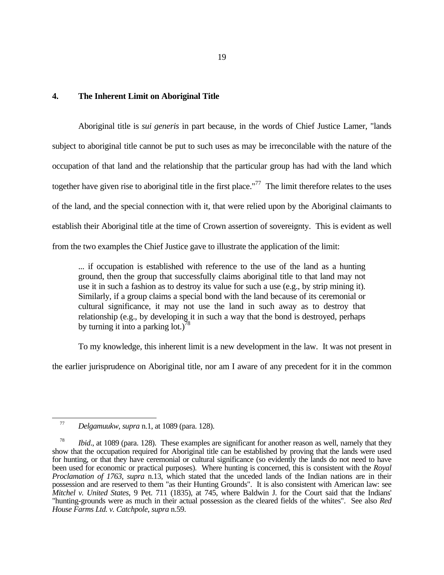## **4. The Inherent Limit on Aboriginal Title**

Aboriginal title is *sui generis* in part because, in the words of Chief Justice Lamer, "lands subject to aboriginal title cannot be put to such uses as may be irreconcilable with the nature of the occupation of that land and the relationship that the particular group has had with the land which together have given rise to aboriginal title in the first place."<sup>77</sup> The limit therefore relates to the uses of the land, and the special connection with it, that were relied upon by the Aboriginal claimants to establish their Aboriginal title at the time of Crown assertion of sovereignty. This is evident as well from the two examples the Chief Justice gave to illustrate the application of the limit:

... if occupation is established with reference to the use of the land as a hunting ground, then the group that successfully claims aboriginal title to that land may not use it in such a fashion as to destroy its value for such a use (e.g., by strip mining it). Similarly, if a group claims a special bond with the land because of its ceremonial or cultural significance, it may not use the land in such away as to destroy that relationship (e.g., by developing it in such a way that the bond is destroyed, perhaps by turning it into a parking lot.)<sup>78</sup>

To my knowledge, this inherent limit is a new development in the law. It was not present in the earlier jurisprudence on Aboriginal title, nor am I aware of any precedent for it in the common

 $\overline{a}$ 

<sup>77</sup> *Delgamuukw*, *supra* n.1, at 1089 (para. 128).

*Ibid.*, at 1089 (para. 128). These examples are significant for another reason as well, namely that they show that the occupation required for Aboriginal title can be established by proving that the lands were used for hunting, or that they have ceremonial or cultural significance (so evidently the lands do not need to have been used for economic or practical purposes). Where hunting is concerned, this is consistent with the *Royal Proclamation of 1763*, *supra* n.13, which stated that the unceded lands of the Indian nations are in their possession and are reserved to them "as their Hunting Grounds". It is also consistent with American law: see *Mitchel v. United States*, 9 Pet. 711 (1835), at 745, where Baldwin J. for the Court said that the Indians' "hunting-grounds were as much in their actual possession as the cleared fields of the whites". See also *Red House Farms Ltd. v. Catchpole*, *supra* n.59.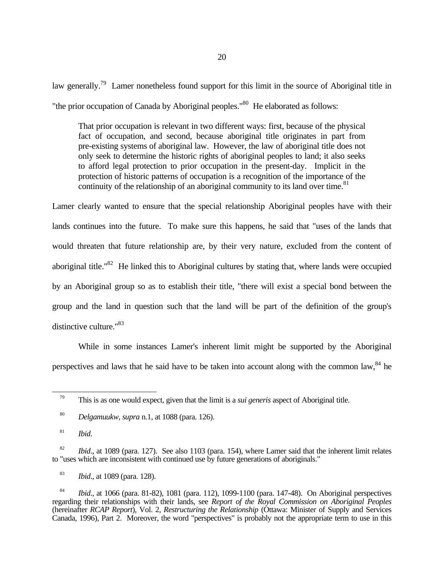law generally.<sup>79</sup> Lamer nonetheless found support for this limit in the source of Aboriginal title in "the prior occupation of Canada by Aboriginal peoples."<sup>80</sup> He elaborated as follows:

That prior occupation is relevant in two different ways: first, because of the physical fact of occupation, and second, because aboriginal title originates in part from pre-existing systems of aboriginal law. However, the law of aboriginal title does not only seek to determine the historic rights of aboriginal peoples to land; it also seeks to afford legal protection to prior occupation in the present-day. Implicit in the protection of historic patterns of occupation is a recognition of the importance of the continuity of the relationship of an aboriginal community to its land over time. $81$ 

Lamer clearly wanted to ensure that the special relationship Aboriginal peoples have with their lands continues into the future. To make sure this happens, he said that "uses of the lands that would threaten that future relationship are, by their very nature, excluded from the content of aboriginal title."<sup>82</sup> He linked this to Aboriginal cultures by stating that, where lands were occupied by an Aboriginal group so as to establish their title, "there will exist a special bond between the group and the land in question such that the land will be part of the definition of the group's distinctive culture."<sup>83</sup>

While in some instances Lamer's inherent limit might be supported by the Aboriginal perspectives and laws that he said have to be taken into account along with the common law,  $84$  he

<sup>79</sup> This is as one would expect, given that the limit is a *sui generis* aspect of Aboriginal title.

<sup>80</sup> *Delgamuukw*, *supra* n.1, at 1088 (para. 126).

<sup>81</sup> *Ibid*.

<sup>&</sup>lt;sup>82</sup> *Ibid.*, at 1089 (para. 127). See also 1103 (para. 154), where Lamer said that the inherent limit relates to "uses which are inconsistent with continued use by future generations of aboriginals."

<sup>83</sup> *Ibid*., at 1089 (para. 128).

<sup>84</sup> *Ibid*., at 1066 (para. 81-82), 1081 (para. 112), 1099-1100 (para. 147-48). On Aboriginal perspectives regarding their relationships with their lands, see *Report of the Royal Commission on Aboriginal Peoples* (hereinafter *RCAP Report*), Vol. 2, *Restructuring the Relationship* (Ottawa: Minister of Supply and Services Canada, 1996), Part 2. Moreover, the word "perspectives" is probably not the appropriate term to use in this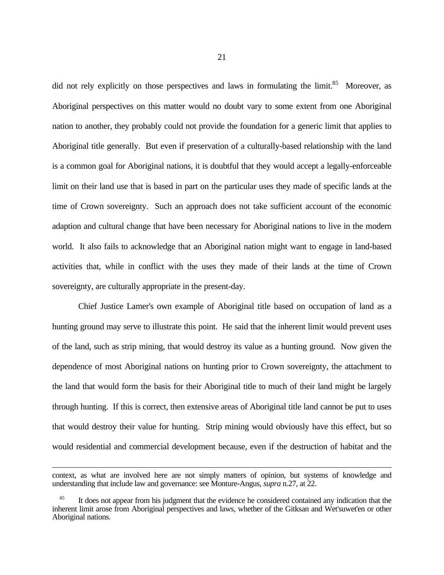did not rely explicitly on those perspectives and laws in formulating the limit.<sup>85</sup> Moreover, as Aboriginal perspectives on this matter would no doubt vary to some extent from one Aboriginal nation to another, they probably could not provide the foundation for a generic limit that applies to Aboriginal title generally. But even if preservation of a culturally-based relationship with the land is a common goal for Aboriginal nations, it is doubtful that they would accept a legally-enforceable limit on their land use that is based in part on the particular uses they made of specific lands at the time of Crown sovereignty. Such an approach does not take sufficient account of the economic adaption and cultural change that have been necessary for Aboriginal nations to live in the modern world. It also fails to acknowledge that an Aboriginal nation might want to engage in land-based activities that, while in conflict with the uses they made of their lands at the time of Crown sovereignty, are culturally appropriate in the present-day.

Chief Justice Lamer's own example of Aboriginal title based on occupation of land as a hunting ground may serve to illustrate this point. He said that the inherent limit would prevent uses of the land, such as strip mining, that would destroy its value as a hunting ground. Now given the dependence of most Aboriginal nations on hunting prior to Crown sovereignty, the attachment to the land that would form the basis for their Aboriginal title to much of their land might be largely through hunting. If this is correct, then extensive areas of Aboriginal title land cannot be put to uses that would destroy their value for hunting. Strip mining would obviously have this effect, but so would residential and commercial development because, even if the destruction of habitat and the

 $\overline{a}$ 

context, as what are involved here are not simply matters of opinion, but systems of knowledge and understanding that include law and governance: see Monture-Angus, *supra* n.27, at 22.

It does not appear from his judgment that the evidence he considered contained any indication that the inherent limit arose from Aboriginal perspectives and laws, whether of the Gitksan and Wet'suwet'en or other Aboriginal nations.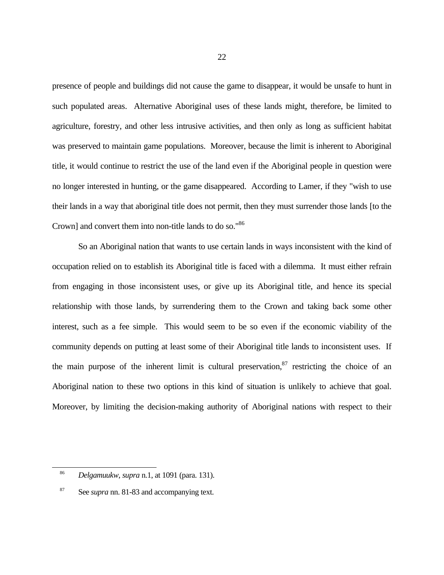presence of people and buildings did not cause the game to disappear, it would be unsafe to hunt in such populated areas. Alternative Aboriginal uses of these lands might, therefore, be limited to agriculture, forestry, and other less intrusive activities, and then only as long as sufficient habitat was preserved to maintain game populations. Moreover, because the limit is inherent to Aboriginal title, it would continue to restrict the use of the land even if the Aboriginal people in question were no longer interested in hunting, or the game disappeared. According to Lamer, if they "wish to use their lands in a way that aboriginal title does not permit, then they must surrender those lands [to the Crown] and convert them into non-title lands to do so."<sup>86</sup>

So an Aboriginal nation that wants to use certain lands in ways inconsistent with the kind of occupation relied on to establish its Aboriginal title is faced with a dilemma. It must either refrain from engaging in those inconsistent uses, or give up its Aboriginal title, and hence its special relationship with those lands, by surrendering them to the Crown and taking back some other interest, such as a fee simple. This would seem to be so even if the economic viability of the community depends on putting at least some of their Aboriginal title lands to inconsistent uses. If the main purpose of the inherent limit is cultural preservation, $87$  restricting the choice of an Aboriginal nation to these two options in this kind of situation is unlikely to achieve that goal. Moreover, by limiting the decision-making authority of Aboriginal nations with respect to their

 $\overline{a}$ 

<sup>86</sup> *Delgamuukw*, *supra* n.1, at 1091 (para. 131).

<sup>87</sup> See *supra* nn. 81-83 and accompanying text.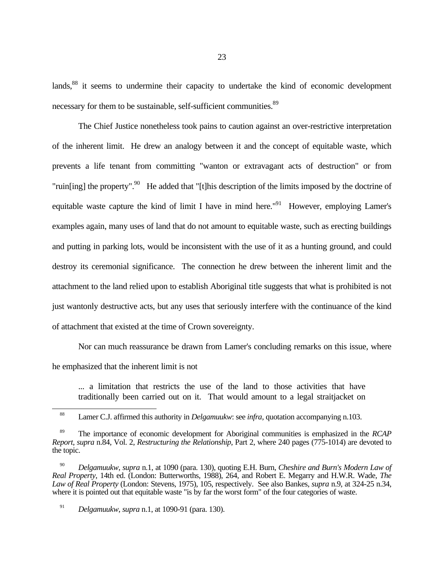lands,<sup>88</sup> it seems to undermine their capacity to undertake the kind of economic development necessary for them to be sustainable, self-sufficient communities.<sup>89</sup>

The Chief Justice nonetheless took pains to caution against an over-restrictive interpretation of the inherent limit. He drew an analogy between it and the concept of equitable waste, which prevents a life tenant from committing "wanton or extravagant acts of destruction" or from "ruin[ing] the property".<sup>90</sup> He added that "[t]his description of the limits imposed by the doctrine of equitable waste capture the kind of limit I have in mind here.<sup>"91</sup> However, employing Lamer's examples again, many uses of land that do not amount to equitable waste, such as erecting buildings and putting in parking lots, would be inconsistent with the use of it as a hunting ground, and could destroy its ceremonial significance. The connection he drew between the inherent limit and the attachment to the land relied upon to establish Aboriginal title suggests that what is prohibited is not just wantonly destructive acts, but any uses that seriously interfere with the continuance of the kind of attachment that existed at the time of Crown sovereignty.

Nor can much reassurance be drawn from Lamer's concluding remarks on this issue, where he emphasized that the inherent limit is not

... a limitation that restricts the use of the land to those activities that have traditionally been carried out on it. That would amount to a legal straitjacket on

<sup>88</sup> Lamer C.J. affirmed this authority in *Delgamuukw*: see *infra*, quotation accompanying n.103.

<sup>89</sup> The importance of economic development for Aboriginal communities is emphasized in the *RCAP Report*, *supra* n.84, Vol. 2, *Restructuring the Relationship*, Part 2, where 240 pages (775-1014) are devoted to the topic.

<sup>90</sup> *Delgamuukw*, *supra* n.1, at 1090 (para. 130), quoting E.H. Burn, *Cheshire and Burn's Modern Law of Real Property*, 14th ed. (London: Butterworths, 1988), 264, and Robert E. Megarry and H.W.R. Wade, *The Law of Real Property* (London: Stevens, 1975), 105, respectively. See also Bankes, *supra* n.9, at 324-25 n.34, where it is pointed out that equitable waste "is by far the worst form" of the four categories of waste.

<sup>91</sup> *Delgamuukw*, *supra* n.1, at 1090-91 (para. 130).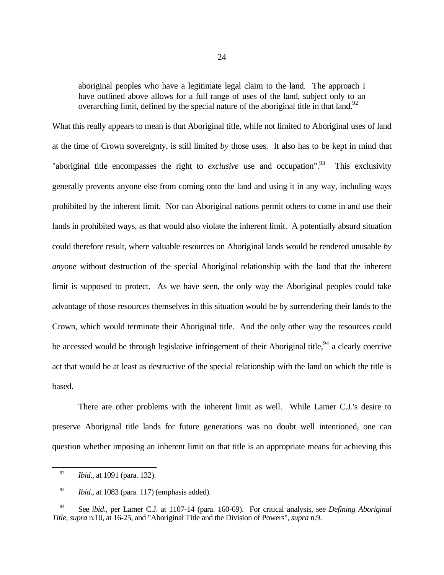aboriginal peoples who have a legitimate legal claim to the land. The approach I have outlined above allows for a full range of uses of the land, subject only to an overarching limit, defined by the special nature of the aboriginal title in that land.<sup>92</sup>

What this really appears to mean is that Aboriginal title, while not limited *to* Aboriginal uses of land at the time of Crown sovereignty, is still limited *by* those uses. It also has to be kept in mind that "aboriginal title encompasses the right to *exclusive* use and occupation".<sup>93</sup> This exclusivity generally prevents anyone else from coming onto the land and using it in any way, including ways prohibited by the inherent limit. Nor can Aboriginal nations permit others to come in and use their lands in prohibited ways, as that would also violate the inherent limit. A potentially absurd situation could therefore result, where valuable resources on Aboriginal lands would be rendered unusable *by anyone* without destruction of the special Aboriginal relationship with the land that the inherent limit is supposed to protect. As we have seen, the only way the Aboriginal peoples could take advantage of those resources themselves in this situation would be by surrendering their lands to the Crown, which would terminate their Aboriginal title. And the only other way the resources could be accessed would be through legislative infringement of their Aboriginal title,<sup>94</sup> a clearly coercive act that would be at least as destructive of the special relationship with the land on which the title is based.

There are other problems with the inherent limit as well. While Lamer C.J.'s desire to preserve Aboriginal title lands for future generations was no doubt well intentioned, one can question whether imposing an inherent limit on that title is an appropriate means for achieving this

<sup>92</sup> *Ibid*., at 1091 (para. 132).

<sup>&</sup>lt;sup>93</sup> *Ibid.*, at 1083 (para. 117) (emphasis added).

<sup>94</sup> See *ibid*., per Lamer C.J. at 1107-14 (para. 160-69). For critical analysis, see *Defining Aboriginal Title*, *supra* n.10, at 16-25, and "Aboriginal Title and the Division of Powers", *supra* n.9.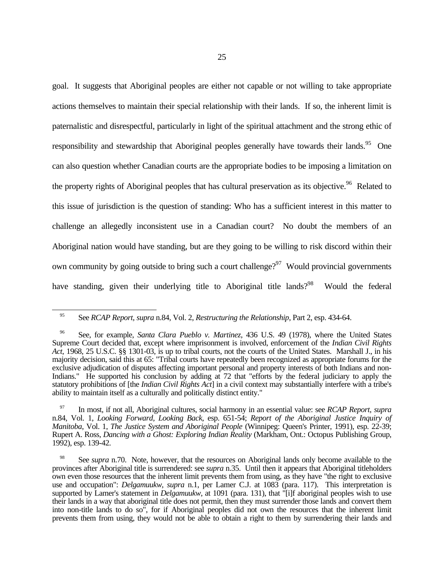goal. It suggests that Aboriginal peoples are either not capable or not willing to take appropriate actions themselves to maintain their special relationship with their lands. If so, the inherent limit is paternalistic and disrespectful, particularly in light of the spiritual attachment and the strong ethic of responsibility and stewardship that Aboriginal peoples generally have towards their lands.<sup>95</sup> One can also question whether Canadian courts are the appropriate bodies to be imposing a limitation on the property rights of Aboriginal peoples that has cultural preservation as its objective.<sup>96</sup> Related to this issue of jurisdiction is the question of standing: Who has a sufficient interest in this matter to challenge an allegedly inconsistent use in a Canadian court? No doubt the members of an Aboriginal nation would have standing, but are they going to be willing to risk discord within their own community by going outside to bring such a court challenge?<sup>97</sup> Would provincial governments have standing, given their underlying title to Aboriginal title lands?<sup>98</sup> Would the federal

<sup>95</sup> See *RCAP Report*, *supra* n.84, Vol. 2, *Restructuring the Relationship*, Part 2, esp. 434-64.

<sup>96</sup> See, for example, *Santa Clara Pueblo v. Martinez*, 436 U.S. 49 (1978), where the United States Supreme Court decided that, except where imprisonment is involved, enforcement of the *Indian Civil Rights Act*, 1968, 25 U.S.C. §§ 1301-03, is up to tribal courts, not the courts of the United States. Marshall J., in his majority decision, said this at 65: "Tribal courts have repeatedly been recognized as appropriate forums for the exclusive adjudication of disputes affecting important personal and property interests of both Indians and non-Indians." He supported his conclusion by adding at 72 that "efforts by the federal judiciary to apply the statutory prohibitions of [the *Indian Civil Rights Act*] in a civil context may substantially interfere with a tribe's ability to maintain itself as a culturally and politically distinct entity."

<sup>97</sup> In most, if not all, Aboriginal cultures, social harmony in an essential value: see *RCAP Report*, *supra* n.84, Vol. 1, *Looking Forward, Looking Back*, esp. 651-54; *Report of the Aboriginal Justice Inquiry of Manitoba*, Vol. 1, *The Justice System and Aboriginal People* (Winnipeg: Queen's Printer, 1991), esp. 22-39; Rupert A. Ross, *Dancing with a Ghost: Exploring Indian Reality* (Markham, Ont.: Octopus Publishing Group, 1992), esp. 139-42.

See *supra* n.70. Note, however, that the resources on Aboriginal lands only become available to the provinces after Aboriginal title is surrendered: see *supra* n.35. Until then it appears that Aboriginal titleholders own even those resources that the inherent limit prevents them from using, as they have "the right to exclusive use and occupation": *Delgamuukw*, *supra* n.1, per Lamer C.J. at 1083 (para. 117). This interpretation is supported by Lamer's statement in *Delgamuukw*, at 1091 (para. 131), that "[i]f aboriginal peoples wish to use their lands in a way that aboriginal title does not permit, then they must surrender those lands and convert them into non-title lands to do so", for if Aboriginal peoples did not own the resources that the inherent limit prevents them from using, they would not be able to obtain a right to them by surrendering their lands and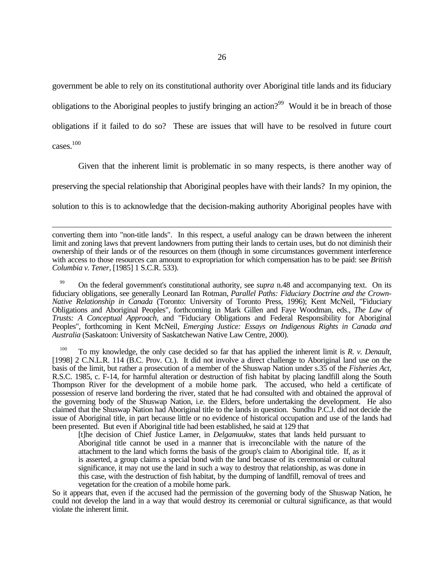government be able to rely on its constitutional authority over Aboriginal title lands and its fiduciary obligations to the Aboriginal peoples to justify bringing an action?<sup>99</sup> Would it be in breach of those obligations if it failed to do so? These are issues that will have to be resolved in future court cases.<sup>100</sup>

<u>.</u>

Given that the inherent limit is problematic in so many respects, is there another way of preserving the special relationship that Aboriginal peoples have with their lands? In my opinion, the

solution to this is to acknowledge that the decision-making authority Aboriginal peoples have with

<sup>99</sup> On the federal government's constitutional authority, see *supra* n.48 and accompanying text. On its fiduciary obligations, see generally Leonard Ian Rotman, *Parallel Paths: Fiduciary Doctrine and the Crown-Native Relationship in Canada* (Toronto: University of Toronto Press, 1996); Kent McNeil, "Fiduciary Obligations and Aboriginal Peoples", forthcoming in Mark Gillen and Faye Woodman, eds., *The Law of Trusts: A Conceptual Approach*, and "Fiduciary Obligations and Federal Responsibility for Aboriginal Peoples", forthcoming in Kent McNeil, *Emerging Justice: Essays on Indigenous Rights in Canada and Australia* (Saskatoon: University of Saskatchewan Native Law Centre, 2000).

<sup>100</sup> To my knowledge, the only case decided so far that has applied the inherent limit is *R. v. Denault*, [1998] 2 C.N.L.R. 114 (B.C. Prov. Ct.). It did not involve a direct challenge to Aboriginal land use on the basis of the limit, but rather a prosecution of a member of the Shuswap Nation under s.35 of the *Fisheries Act*, R.S.C. 1985, c. F-14, for harmful alteration or destruction of fish habitat by placing landfill along the South Thompson River for the development of a mobile home park. The accused, who held a certificate of possession of reserve land bordering the river, stated that he had consulted with and obtained the approval of the governing body of the Shuswap Nation, i.e. the Elders, before undertaking the development. He also claimed that the Shuswap Nation had Aboriginal title to the lands in question. Sundhu P.C.J. did not decide the issue of Aboriginal title, in part because little or no evidence of historical occupation and use of the lands had been presented. But even if Aboriginal title had been established, he said at 129 that

[t]he decision of Chief Justice Lamer, in *Delgamuukw*, states that lands held pursuant to Aboriginal title cannot be used in a manner that is irreconcilable with the nature of the attachment to the land which forms the basis of the group's claim to Aboriginal title. If, as it is asserted, a group claims a special bond with the land because of its ceremonial or cultural significance, it may not use the land in such a way to destroy that relationship, as was done in this case, with the destruction of fish habitat, by the dumping of landfill, removal of trees and vegetation for the creation of a mobile home park.

So it appears that, even if the accused had the permission of the governing body of the Shuswap Nation, he could not develop the land in a way that would destroy its ceremonial or cultural significance, as that would violate the inherent limit.

converting them into "non-title lands". In this respect, a useful analogy can be drawn between the inherent limit and zoning laws that prevent landowners from putting their lands to certain uses, but do not diminish their ownership of their lands or of the resources on them (though in some circumstances government interference with access to those resources can amount to expropriation for which compensation has to be paid: see *British Columbia v. Tener*, [1985] 1 S.C.R. 533).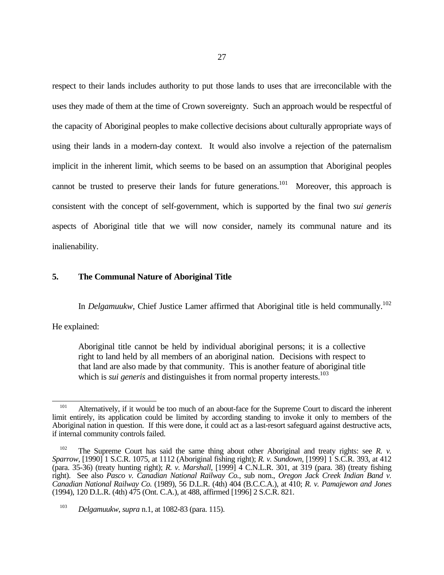respect to their lands includes authority to put those lands to uses that are irreconcilable with the uses they made of them at the time of Crown sovereignty. Such an approach would be respectful of the capacity of Aboriginal peoples to make collective decisions about culturally appropriate ways of using their lands in a modern-day context. It would also involve a rejection of the paternalism implicit in the inherent limit, which seems to be based on an assumption that Aboriginal peoples cannot be trusted to preserve their lands for future generations.<sup>101</sup> Moreover, this approach is consistent with the concept of self-government, which is supported by the final two *sui generis* aspects of Aboriginal title that we will now consider, namely its communal nature and its inalienability.

## **5. The Communal Nature of Aboriginal Title**

In *Delgamuukw*, Chief Justice Lamer affirmed that Aboriginal title is held communally.<sup>102</sup>

He explained:

 $\overline{a}$ 

Aboriginal title cannot be held by individual aboriginal persons; it is a collective right to land held by all members of an aboriginal nation. Decisions with respect to that land are also made by that community. This is another feature of aboriginal title which is *sui generis* and distinguishes it from normal property interests.<sup>103</sup>

<sup>&</sup>lt;sup>101</sup> Alternatively, if it would be too much of an about-face for the Supreme Court to discard the inherent limit entirely, its application could be limited by according standing to invoke it only to members of the Aboriginal nation in question. If this were done, it could act as a last-resort safeguard against destructive acts, if internal community controls failed.

<sup>&</sup>lt;sup>102</sup> The Supreme Court has said the same thing about other Aboriginal and treaty rights: see *R. v. Sparrow*, [1990] 1 S.C.R. 1075, at 1112 (Aboriginal fishing right); *R. v. Sundown*, [1999] 1 S.C.R. 393, at 412 (para. 35-36) (treaty hunting right); *R. v. Marshall*, [1999] 4 C.N.L.R. 301, at 319 (para. 38) (treaty fishing right). See also *Pasco v. Canadian National Railway Co.*, sub nom., *Oregon Jack Creek Indian Band v. Canadian National Railway Co.* (1989), 56 D.L.R. (4th) 404 (B.C.C.A.), at 410; *R. v. Pamajewon and Jones* (1994), 120 D.L.R. (4th) 475 (Ont. C.A.), at 488, affirmed [1996] 2 S.C.R. 821.

<sup>103</sup> *Delgamuukw*, *supra* n.1, at 1082-83 (para. 115).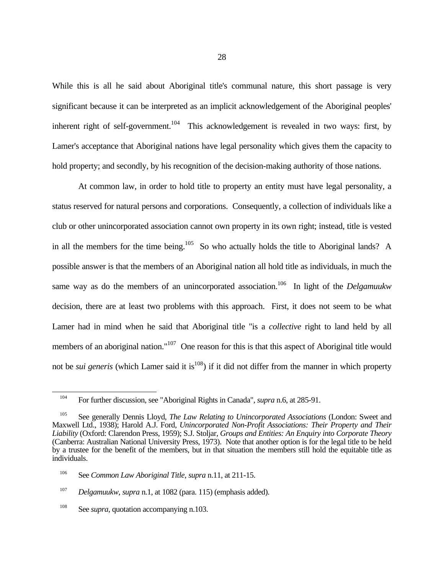While this is all he said about Aboriginal title's communal nature, this short passage is very significant because it can be interpreted as an implicit acknowledgement of the Aboriginal peoples' inherent right of self-government.<sup>104</sup> This acknowledgement is revealed in two ways: first, by Lamer's acceptance that Aboriginal nations have legal personality which gives them the capacity to hold property; and secondly, by his recognition of the decision-making authority of those nations.

At common law, in order to hold title to property an entity must have legal personality, a status reserved for natural persons and corporations. Consequently, a collection of individuals like a club or other unincorporated association cannot own property in its own right; instead, title is vested in all the members for the time being.<sup>105</sup> So who actually holds the title to Aboriginal lands? A possible answer is that the members of an Aboriginal nation all hold title as individuals, in much the same way as do the members of an unincorporated association.<sup>106</sup> In light of the *Delgamuukw* decision, there are at least two problems with this approach. First, it does not seem to be what Lamer had in mind when he said that Aboriginal title "is a *collective* right to land held by all members of an aboriginal nation."<sup>107</sup> One reason for this is that this aspect of Aboriginal title would not be *sui generis* (which Lamer said it is<sup>108</sup>) if it did not differ from the manner in which property

 $\overline{a}$ 

<sup>104</sup> For further discussion, see "Aboriginal Rights in Canada", *supra* n.6, at 285-91.

<sup>105</sup> See generally Dennis Lloyd, *The Law Relating to Unincorporated Associations* (London: Sweet and Maxwell Ltd., 1938); Harold A.J. Ford, *Unincorporated Non-Profit Associations: Their Property and Their Liability* (Oxford: Clarendon Press, 1959); S.J. Stoljar, *Groups and Entities: An Enquiry into Corporate Theory* (Canberra: Australian National University Press, 1973). Note that another option is for the legal title to be held by a trustee for the benefit of the members, but in that situation the members still hold the equitable title as individuals.

<sup>106</sup> See *Common Law Aboriginal Title*, *supra* n.11, at 211-15.

<sup>107</sup> *Delgamuukw*, *supra* n.1, at 1082 (para. 115) (emphasis added).

<sup>&</sup>lt;sup>108</sup> See *supra*, quotation accompanying n.103.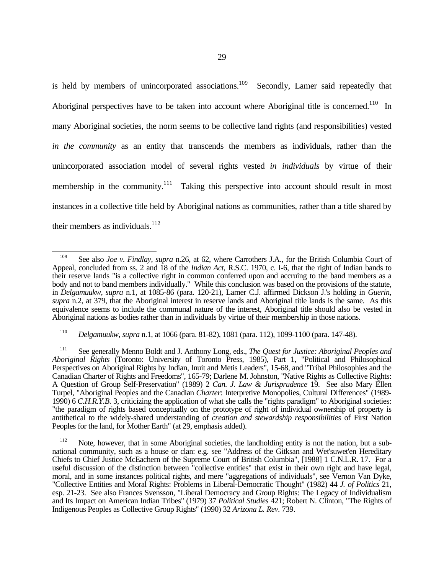is held by members of unincorporated associations.<sup>109</sup> Secondly, Lamer said repeatedly that Aboriginal perspectives have to be taken into account where Aboriginal title is concerned.<sup>110</sup> In many Aboriginal societies, the norm seems to be collective land rights (and responsibilities) vested *in the community* as an entity that transcends the members as individuals, rather than the unincorporated association model of several rights vested *in individuals* by virtue of their membership in the community.<sup>111</sup> Taking this perspective into account should result in most instances in a collective title held by Aboriginal nations as communities, rather than a title shared by their members as individuals. $^{112}$ 

<sup>110</sup> *Delgamuukw*, *supra* n.1, at 1066 (para. 81-82), 1081 (para. 112), 1099-1100 (para. 147-48).

<sup>111</sup> See generally Menno Boldt and J. Anthony Long, eds., *The Quest for Justice: Aboriginal Peoples and Aboriginal Rights* (Toronto: University of Toronto Press, 1985), Part 1, "Political and Philosophical Perspectives on Aboriginal Rights by Indian, Inuit and Metis Leaders", 15-68, and "Tribal Philosophies and the Canadian Charter of Rights and Freedoms", 165-79; Darlene M. Johnston, "Native Rights as Collective Rights: A Question of Group Self-Preservation" (1989) 2 *Can. J. Law & Jurisprudence* 19. See also Mary Ellen Turpel, "Aboriginal Peoples and the Canadian *Charter*: Interpretive Monopolies, Cultural Differences" (1989- 1990) 6 *C.H.R.Y.B.* 3, criticizing the application of what she calls the "rights paradigm" to Aboriginal societies: "the paradigm of rights based conceptually on the prototype of right of individual ownership of property is antithetical to the widely-shared understanding of *creation and stewardship responsibilities* of First Nation Peoples for the land, for Mother Earth" (at 29, emphasis added).

<sup>&</sup>lt;u>.</u> <sup>109</sup> See also *Joe v. Findlay*, *supra* n.26, at 62, where Carrothers J.A., for the British Columbia Court of Appeal, concluded from ss. 2 and 18 of the *Indian Act*, R.S.C. 1970, c. I-6, that the right of Indian bands to their reserve lands "is a collective right in common conferred upon and accruing to the band members as a body and not to band members individually." While this conclusion was based on the provisions of the statute, in *Delgamuukw*, *supra* n.1, at 1085-86 (para. 120-21), Lamer C.J. affirmed Dickson J.'s holding in *Guerin*, *supra* n.2, at 379, that the Aboriginal interest in reserve lands and Aboriginal title lands is the same. As this equivalence seems to include the communal nature of the interest, Aboriginal title should also be vested in Aboriginal nations as bodies rather than in individuals by virtue of their membership in those nations.

Note, however, that in some Aboriginal societies, the landholding entity is not the nation, but a subnational community, such as a house or clan: e.g. see "Address of the Gitksan and Wet'suwet'en Hereditary Chiefs to Chief Justice McEachern of the Supreme Court of British Columbia", [1988] 1 C.N.L.R. 17. For a useful discussion of the distinction between "collective entities" that exist in their own right and have legal, moral, and in some instances political rights, and mere "aggregations of individuals", see Vernon Van Dyke, "Collective Entities and Moral Rights: Problems in Liberal-Democratic Thought" (1982) 44 *J. of Politics* 21, esp. 21-23. See also Frances Svensson, "Liberal Democracy and Group Rights: The Legacy of Individualism and Its Impact on American Indian Tribes" (1979) 37 *Political Studies* 421; Robert N. Clinton, "The Rights of Indigenous Peoples as Collective Group Rights" (1990) 32 *Arizona L. Rev.* 739.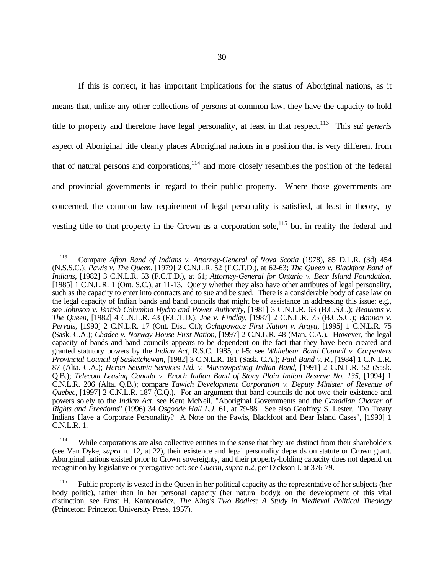If this is correct, it has important implications for the status of Aboriginal nations, as it means that, unlike any other collections of persons at common law, they have the capacity to hold title to property and therefore have legal personality, at least in that respect.<sup>113</sup> This *sui generis* aspect of Aboriginal title clearly places Aboriginal nations in a position that is very different from that of natural persons and corporations, $114$  and more closely resembles the position of the federal and provincial governments in regard to their public property. Where those governments are concerned, the common law requirement of legal personality is satisfied, at least in theory, by vesting title to that property in the Crown as a corporation sole,<sup>115</sup> but in reality the federal and

<sup>114</sup> While corporations are also collective entities in the sense that they are distinct from their shareholders (see Van Dyke, *supra* n.112, at 22), their existence and legal personality depends on statute or Crown grant. Aboriginal nations existed prior to Crown sovereignty, and their property-holding capacity does not depend on recognition by legislative or prerogative act: see *Guerin*, *supra* n.2, per Dickson J. at 376-79.

 $\overline{a}$ <sup>113</sup> Compare *Afton Band of Indians v. Attorney-General of Nova Scotia* (1978), 85 D.L.R. (3d) 454 (N.S.S.C.); *Pawis v. The Queen*, [1979] 2 C.N.L.R. 52 (F.C.T.D.), at 62-63; *The Queen v. Blackfoot Band of Indians*, [1982] 3 C.N.L.R. 53 (F.C.T.D.), at 61; *Attorney-General for Ontario v. Bear Island Foundation*, [1985] 1 C.N.L.R. 1 (Ont. S.C.), at 11-13. Query whether they also have other attributes of legal personality, such as the capacity to enter into contracts and to sue and be sued. There is a considerable body of case law on the legal capacity of Indian bands and band councils that might be of assistance in addressing this issue: e.g., see *Johnson v. British Columbia Hydro and Power Authority*, [1981] 3 C.N.L.R. 63 (B.C.S.C.); *Beauvais v. The Queen*, [1982] 4 C.N.L.R. 43 (F.C.T.D.); *Joe v. Findlay*, [1987] 2 C.N.L.R. 75 (B.C.S.C.); *Bannon v. Pervais*, [1990] 2 C.N.L.R. 17 (Ont. Dist. Ct.); *Ochapowace First Nation v. Araya*, [1995] 1 C.N.L.R. 75 (Sask. C.A.); *Chadee v. Norway House First Nation*, [1997] 2 C.N.L.R. 48 (Man. C.A.). However, the legal capacity of bands and band councils appears to be dependent on the fact that they have been created and granted statutory powers by the *Indian Act*, R.S.C. 1985, c.I-5: see *Whitebear Band Council v. Carpenters Provincial Council of Saskatchewan*, [1982] 3 C.N.L.R. 181 (Sask. C.A.); *Paul Band v. R.*, [1984] 1 C.N.L.R. 87 (Alta. C.A.); *Heron Seismic Services Ltd. v. Muscowpetung Indian Band*, [1991] 2 C.N.L.R. 52 (Sask. Q.B.); *Telecom Leasing Canada v. Enoch Indian Band of Stony Plain Indian Reserve No. 135*, [1994] 1 C.N.L.R. 206 (Alta. Q.B.); compare *Tawich Development Corporation v. Deputy Minister of Revenue of Quebec*, [1997] 2 C.N.L.R. 187 (C.Q.). For an argument that band councils do not owe their existence and powers solely to the *Indian Act*, see Kent McNeil, "Aboriginal Governments and the *Canadian Charter of Rights and Freedoms*" (1996) 34 *Osgoode Hall L.J.* 61, at 79-88. See also Geoffrey S. Lester, "Do Treaty Indians Have a Corporate Personality? A Note on the Pawis, Blackfoot and Bear Island Cases", [1990] 1 C.N.L.R. 1.

<sup>&</sup>lt;sup>115</sup> Public property is vested in the Queen in her political capacity as the representative of her subjects (her body politic), rather than in her personal capacity (her natural body): on the development of this vital distinction, see Ernst H. Kantorowicz, *The King's Two Bodies: A Study in Medieval Political Theology* (Princeton: Princeton University Press, 1957).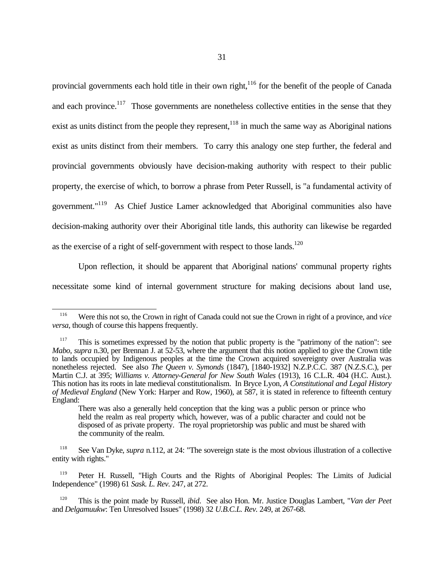provincial governments each hold title in their own right,<sup>116</sup> for the benefit of the people of Canada and each province.<sup>117</sup> Those governments are nonetheless collective entities in the sense that they exist as units distinct from the people they represent,  $118$  in much the same way as Aboriginal nations exist as units distinct from their members. To carry this analogy one step further, the federal and provincial governments obviously have decision-making authority with respect to their public property, the exercise of which, to borrow a phrase from Peter Russell, is "a fundamental activity of government."<sup>119</sup> As Chief Justice Lamer acknowledged that Aboriginal communities also have decision-making authority over their Aboriginal title lands, this authority can likewise be regarded as the exercise of a right of self-government with respect to those lands.<sup>120</sup>

Upon reflection, it should be apparent that Aboriginal nations' communal property rights necessitate some kind of internal government structure for making decisions about land use,

 $\overline{a}$ 

<sup>116</sup> Were this not so, the Crown in right of Canada could not sue the Crown in right of a province, and *vice versa*, though of course this happens frequently.

<sup>&</sup>lt;sup>117</sup> This is sometimes expressed by the notion that public property is the "patrimony of the nation": see *Mabo*, *supra* n.30, per Brennan J. at 52-53, where the argument that this notion applied to give the Crown title to lands occupied by Indigenous peoples at the time the Crown acquired sovereignty over Australia was nonetheless rejected. See also *The Queen v. Symonds* (1847), [1840-1932] N.Z.P.C.C. 387 (N.Z.S.C.), per Martin C.J. at 395; *Williams v. Attorney-General for New South Wales* (1913), 16 C.L.R. 404 (H.C. Aust.). This notion has its roots in late medieval constitutionalism. In Bryce Lyon, *A Constitutional and Legal History of Medieval England* (New York: Harper and Row, 1960), at 587, it is stated in reference to fifteenth century England:

There was also a generally held conception that the king was a public person or prince who held the realm as real property which, however, was of a public character and could not be disposed of as private property. The royal proprietorship was public and must be shared with the community of the realm.

<sup>118</sup> See Van Dyke, *supra* n.112, at 24: "The sovereign state is the most obvious illustration of a collective entity with rights."

Peter H. Russell, "High Courts and the Rights of Aboriginal Peoples: The Limits of Judicial Independence" (1998) 61 *Sask. L. Rev.* 247, at 272.

<sup>120</sup> This is the point made by Russell, *ibid*. See also Hon. Mr. Justice Douglas Lambert, "*Van der Peet* and *Delgamuukw*: Ten Unresolved Issues" (1998) 32 *U.B.C.L. Rev.* 249, at 267-68.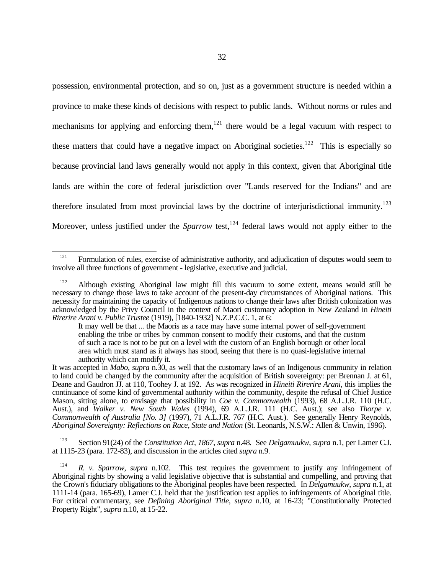possession, environmental protection, and so on, just as a government structure is needed within a province to make these kinds of decisions with respect to public lands. Without norms or rules and mechanisms for applying and enforcing them, $^{121}$  there would be a legal vacuum with respect to these matters that could have a negative impact on Aboriginal societies.<sup>122</sup> This is especially so because provincial land laws generally would not apply in this context, given that Aboriginal title lands are within the core of federal jurisdiction over "Lands reserved for the Indians" and are

therefore insulated from most provincial laws by the doctrine of interjurisdictional immunity.<sup>123</sup>

Moreover, unless justified under the *Sparrow* test,<sup>124</sup> federal laws would not apply either to the

<sup>123</sup> Section 91(24) of the *Constitution Act, 1867*, *supra* n.48. See *Delgamuukw*, *supra* n.1, per Lamer C.J. at 1115-23 (para. 172-83), and discussion in the articles cited *supra* n.9.

 $\overline{a}$ <sup>121</sup> Formulation of rules, exercise of administrative authority, and adjudication of disputes would seem to involve all three functions of government - legislative, executive and judicial.

<sup>&</sup>lt;sup>122</sup> Although existing Aboriginal law might fill this vacuum to some extent, means would still be necessary to change those laws to take account of the present-day circumstances of Aboriginal nations. This necessity for maintaining the capacity of Indigenous nations to change their laws after British colonization was acknowledged by the Privy Council in the context of Maori customary adoption in New Zealand in *Hineiti Rirerire Arani v. Public Trustee* (1919), [1840-1932] N.Z.P.C.C. 1, at 6:

It may well be that ... the Maoris as a race may have some internal power of self-government enabling the tribe or tribes by common consent to modify their customs, and that the custom of such a race is not to be put on a level with the custom of an English borough or other local area which must stand as it always has stood, seeing that there is no quasi-legislative internal authority which can modify it.

It was accepted in *Mabo*, *supra* n.30, as well that the customary laws of an Indigenous community in relation to land could be changed by the community after the acquisition of British sovereignty: per Brennan J. at 61, Deane and Gaudron JJ. at 110, Toohey J. at 192. As was recognized in *Hineiti Rirerire Arani*, this implies the continuance of some kind of governmental authority within the community, despite the refusal of Chief Justice Mason, sitting alone, to envisage that possibility in *Coe v. Commonwealth* (1993), 68 A.L.J.R. 110 (H.C. Aust.), and *Walker v. New South Wales* (1994), 69 A.L.J.R. 111 (H.C. Aust.); see also *Thorpe v. Commonwealth of Australia [No. 3]* (1997), 71 A.L.J.R. 767 (H.C. Aust.). See generally Henry Reynolds, *Aboriginal Sovereignty: Reflections on Race, State and Nation* (St. Leonards, N.S.W.: Allen & Unwin, 1996).

<sup>&</sup>lt;sup>124</sup> *R. v. Sparrow, supra* n.102. This test requires the government to justify any infringement of Aboriginal rights by showing a valid legislative objective that is substantial and compelling, and proving that the Crown's fiduciary obligations to the Aboriginal peoples have been respected. In *Delgamuukw*, *supra* n.1, at 1111-14 (para. 165-69), Lamer C.J. held that the justification test applies to infringements of Aboriginal title. For critical commentary, see *Defining Aboriginal Title*, *supra* n.10, at 16-23; "Constitutionally Protected Property Right", *supra* n.10, at 15-22.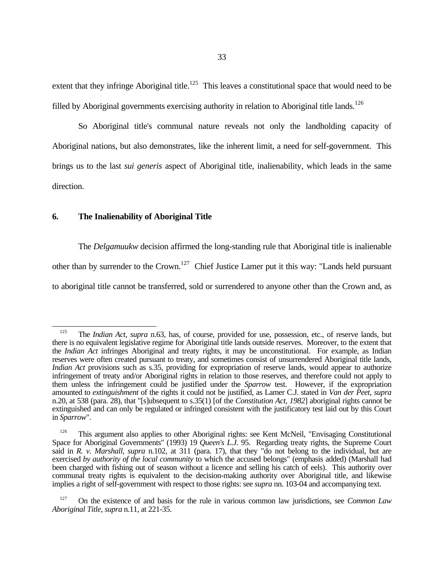extent that they infringe Aboriginal title.<sup>125</sup> This leaves a constitutional space that would need to be filled by Aboriginal governments exercising authority in relation to Aboriginal title lands.<sup>126</sup>

So Aboriginal title's communal nature reveals not only the landholding capacity of Aboriginal nations, but also demonstrates, like the inherent limit, a need for self-government. This brings us to the last *sui generis* aspect of Aboriginal title, inalienability, which leads in the same direction.

## **6. The Inalienability of Aboriginal Title**

 $\overline{a}$ 

The *Delgamuukw* decision affirmed the long-standing rule that Aboriginal title is inalienable other than by surrender to the Crown.<sup>127</sup> Chief Justice Lamer put it this way: "Lands held pursuant to aboriginal title cannot be transferred, sold or surrendered to anyone other than the Crown and, as

<sup>&</sup>lt;sup>125</sup> The *Indian Act*, *supra* n.63, has, of course, provided for use, possession, etc., of reserve lands, but there is no equivalent legislative regime for Aboriginal title lands outside reserves. Moreover, to the extent that the *Indian Act* infringes Aboriginal and treaty rights, it may be unconstitutional. For example, as Indian reserves were often created pursuant to treaty, and sometimes consist of unsurrendered Aboriginal title lands, *Indian Act* provisions such as s.35, providing for expropriation of reserve lands, would appear to authorize infringement of treaty and/or Aboriginal rights in relation to those reserves, and therefore could not apply to them unless the infringement could be justified under the *Sparrow* test. However, if the expropriation amounted to *extinguishment* of the rights it could not be justified, as Lamer C.J. stated in *Van der Peet*, *supra* n.20, at 538 (para. 28), that "[s]ubsequent to s.35(1) [of the *Constitution Act, 1982*] aboriginal rights cannot be extinguished and can only be regulated or infringed consistent with the justificatory test laid out by this Court in *Sparrow*".

<sup>&</sup>lt;sup>126</sup> This argument also applies to other Aboriginal rights: see Kent McNeil, "Envisaging Constitutional Space for Aboriginal Governments" (1993) 19 *Queen's L.J.* 95. Regarding treaty rights, the Supreme Court said in *R. v. Marshall*, *supra* n.102, at 311 (para. 17), that they "do not belong to the individual, but are exercised *by authority of the local community* to which the accused belongs" (emphasis added) (Marshall had been charged with fishing out of season without a licence and selling his catch of eels). This authority over communal treaty rights is equivalent to the decision-making authority over Aboriginal title, and likewise implies a right of self-government with respect to those rights: see *supra* nn. 103-04 and accompanying text.

<sup>127</sup> On the existence of and basis for the rule in various common law jurisdictions, see *Common Law Aboriginal Title*, *supra* n.11, at 221-35.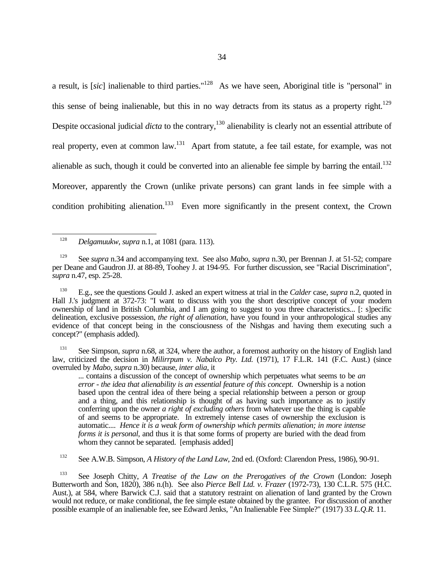a result, is [*sic*] inalienable to third parties."<sup>128</sup> As we have seen, Aboriginal title is "personal" in this sense of being inalienable, but this in no way detracts from its status as a property right.<sup>129</sup> Despite occasional judicial *dicta* to the contrary,<sup>130</sup> alienability is clearly not an essential attribute of real property, even at common law.<sup>131</sup> Apart from statute, a fee tail estate, for example, was not alienable as such, though it could be converted into an alienable fee simple by barring the entail.<sup>132</sup> Moreover, apparently the Crown (unlike private persons) can grant lands in fee simple with a condition prohibiting alienation.<sup>133</sup> Even more significantly in the present context, the Crown

<sup>128</sup> *Delgamuukw*, *supra* n.1, at 1081 (para. 113).

 $\overline{a}$ 

<sup>130</sup> E.g., see the questions Gould J. asked an expert witness at trial in the *Calder* case, *supra* n.2, quoted in Hall J.'s judgment at 372-73: "I want to discuss with you the short descriptive concept of your modern ownership of land in British Columbia, and I am going to suggest to you three characteristics... [: s]pecific delineation, exclusive possession, *the right of alienation*, have you found in your anthropological studies any evidence of that concept being in the consciousness of the Nishgas and having them executing such a concept?" (emphasis added).

See Simpson, *supra* n.68, at 324, where the author, a foremost authority on the history of English land law, criticized the decision in *Milirrpum v. Nabalco Pty. Ltd.* (1971), 17 F.L.R. 141 (F.C. Aust.) (since overruled by *Mabo*, *supra* n.30) because, *inter alia*, it

... contains a discussion of the concept of ownership which perpetuates what seems to be *an error - the idea that alienability is an essential feature of this concept*. Ownership is a notion based upon the central idea of there being a special relationship between a person or group and a thing, and this relationship is thought of as having such importance as to justify conferring upon the owner *a right of excluding others* from whatever use the thing is capable of and seems to be appropriate. In extremely intense cases of ownership the exclusion is automatic.... *Hence it is a weak form of ownership which permits alienation; in more intense forms it is personal*, and thus it is that some forms of property are buried with the dead from whom they cannot be separated. [emphasis added]

<sup>132</sup> See A.W.B. Simpson, *A History of the Land Law*, 2nd ed. (Oxford: Clarendon Press, 1986), 90-91.

<sup>133</sup> See Joseph Chitty, *A Treatise of the Law on the Prerogatives of the Crown* (London: Joseph Butterworth and Son, 1820), 386 n.(h). See also *Pierce Bell Ltd. v. Frazer* (1972-73), 130 C.L.R. 575 (H.C. Aust.), at 584, where Barwick C.J. said that a statutory restraint on alienation of land granted by the Crown would not reduce, or make conditional, the fee simple estate obtained by the grantee. For discussion of another possible example of an inalienable fee, see Edward Jenks, "An Inalienable Fee Simple?" (1917) 33 *L.Q.R.* 11.

<sup>129</sup> See *supra* n.34 and accompanying text. See also *Mabo*, *supra* n.30, per Brennan J. at 51-52; compare per Deane and Gaudron JJ. at 88-89, Toohey J. at 194-95. For further discussion, see "Racial Discrimination", *supra* n.47, esp. 25-28.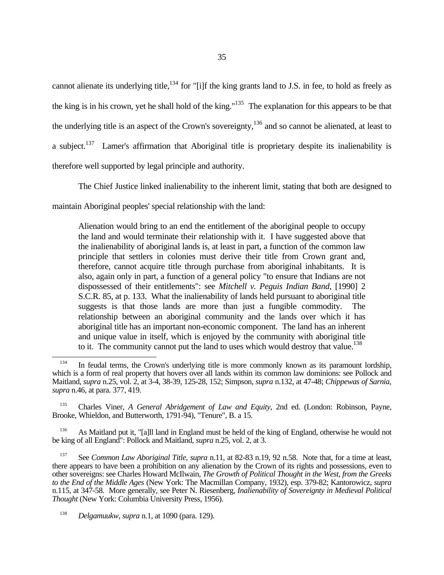cannot alienate its underlying title,<sup>134</sup> for "[i]f the king grants land to J.S. in fee, to hold as freely as the king is in his crown, yet he shall hold of the king."<sup>135</sup> The explanation for this appears to be that the underlying title is an aspect of the Crown's sovereignty,<sup>136</sup> and so cannot be alienated, at least to a subject.<sup>137</sup> Lamer's affirmation that Aboriginal title is proprietary despite its inalienability is therefore well supported by legal principle and authority.

The Chief Justice linked inalienability to the inherent limit, stating that both are designed to

maintain Aboriginal peoples' special relationship with the land:

Alienation would bring to an end the entitlement of the aboriginal people to occupy the land and would terminate their relationship with it. I have suggested above that the inalienability of aboriginal lands is, at least in part, a function of the common law principle that settlers in colonies must derive their title from Crown grant and, therefore, cannot acquire title through purchase from aboriginal inhabitants. It is also, again only in part, a function of a general policy "to ensure that Indians are not dispossessed of their entitlements": see *Mitchell v. Peguis Indian Band*, [1990] 2 S.C.R. 85, at p. 133. What the inalienability of lands held pursuant to aboriginal title suggests is that those lands are more than just a fungible commodity. The relationship between an aboriginal community and the lands over which it has aboriginal title has an important non-economic component. The land has an inherent and unique value in itself, which is enjoyed by the community with aboriginal title to it. The community cannot put the land to uses which would destroy that value.<sup>138</sup>

<sup>135</sup> Charles Viner, *A General Abridgement of Law and Equity*, 2nd ed. (London: Robinson, Payne, Brooke, Whieldon, and Butterworth, 1791-94), "Tenure", B. a 15.

<sup>136</sup> As Maitland put it, "[a]ll land in England must be held of the king of England, otherwise he would not be king of all England": Pollock and Maitland, *supra* n.25, vol. 2, at 3.

<sup>137</sup> See *Common Law Aboriginal Title*, *supra* n.11, at 82-83 n.19, 92 n.58. Note that, for a time at least, there appears to have been a prohibition on any alienation by the Crown of its rights and possessions, even to other sovereigns: see Charles Howard McIlwain, *The Growth of Political Thought in the West, from the Greeks to the End of the Middle Ages* (New York: The Macmillan Company, 1932), esp. 379-82; Kantorowicz, *supra* n.115, at 347-58. More generally, see Peter N. Riesenberg, *Inalienability of Sovereignty in Medieval Political Thought* (New York: Columbia University Press, 1956).

<sup>138</sup> *Delgamuukw*, *supra* n.1, at 1090 (para. 129).

 $\overline{a}$ <sup>134</sup> In feudal terms, the Crown's underlying title is more commonly known as its paramount lordship, which is a form of real property that hovers over all lands within its common law dominions: see Pollock and Maitland, *supra* n.25, vol. 2, at 3-4, 38-39, 125-28, 152; Simpson, *supra* n.132, at 47-48; *Chippewas of Sarnia*, *supra* n.46, at para. 377, 419.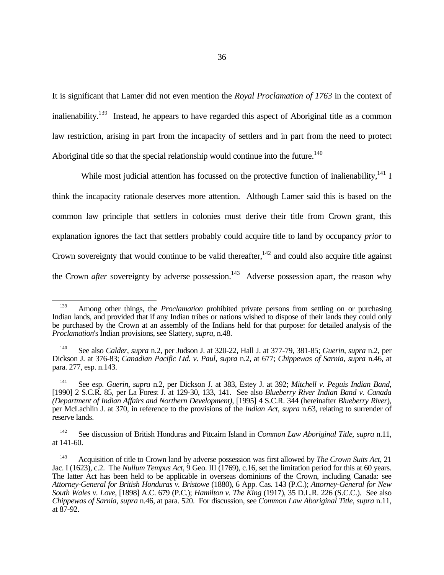It is significant that Lamer did not even mention the *Royal Proclamation of 1763* in the context of inalienability.<sup>139</sup> Instead, he appears to have regarded this aspect of Aboriginal title as a common law restriction, arising in part from the incapacity of settlers and in part from the need to protect Aboriginal title so that the special relationship would continue into the future.<sup>140</sup>

While most judicial attention has focussed on the protective function of inalienability,  $^{141}$  I think the incapacity rationale deserves more attention. Although Lamer said this is based on the common law principle that settlers in colonies must derive their title from Crown grant, this explanation ignores the fact that settlers probably could acquire title to land by occupancy *prior* to Crown sovereignty that would continue to be valid thereafter.<sup>142</sup> and could also acquire title against the Crown *after* sovereignty by adverse possession.<sup>143</sup> Adverse possession apart, the reason why

 $\overline{a}$ 

<sup>&</sup>lt;sup>139</sup> Among other things, the *Proclamation* prohibited private persons from settling on or purchasing Indian lands, and provided that if any Indian tribes or nations wished to dispose of their lands they could only be purchased by the Crown at an assembly of the Indians held for that purpose: for detailed analysis of the *Proclamation*'s Indian provisions, see Slattery, *supra*, n.48.

<sup>140</sup> See also *Calder*, *supra* n.2, per Judson J. at 320-22, Hall J. at 377-79, 381-85; *Guerin*, *supra* n.2, per Dickson J. at 376-83; *Canadian Pacific Ltd. v. Paul*, *supra* n.2, at 677; *Chippewas of Sarnia*, *supra* n.46, at para. 277, esp. n.143.

<sup>141</sup> See esp. *Guerin*, *supra* n.2, per Dickson J. at 383, Estey J. at 392; *Mitchell v. Peguis Indian Band*, [1990] 2 S.C.R. 85, per La Forest J. at 129-30, 133, 141. See also *Blueberry River Indian Band v. Canada (Department of Indian Affairs and Northern Development)*, [1995] 4 S.C.R. 344 (hereinafter *Blueberry River*), per McLachlin J. at 370, in reference to the provisions of the *Indian Act*, *supra* n.63, relating to surrender of reserve lands.

<sup>142</sup> See discussion of British Honduras and Pitcairn Island in *Common Law Aboriginal Title*, *supra* n.11, at 141-60.

<sup>143</sup> Acquisition of title to Crown land by adverse possession was first allowed by *The Crown Suits Act*, 21 Jac. I (1623), c.2. The *Nullum Tempus Act*, 9 Geo. III (1769), c.16, set the limitation period for this at 60 years. The latter Act has been held to be applicable in overseas dominions of the Crown, including Canada: see *Attorney-General for British Honduras v. Bristowe* (1880), 6 App. Cas. 143 (P.C.); *Attorney-General for New South Wales v. Love*, [1898] A.C. 679 (P.C.); *Hamilton v. The King* (1917), 35 D.L.R. 226 (S.C.C.). See also *Chippewas of Sarnia*, *supra* n.46, at para. 520. For discussion, see *Common Law Aboriginal Title*, *supra* n.11, at 87-92.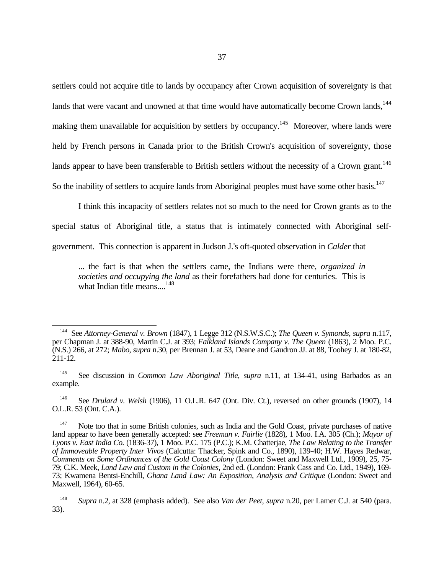settlers could not acquire title to lands by occupancy after Crown acquisition of sovereignty is that lands that were vacant and unowned at that time would have automatically become Crown lands, $144$ making them unavailable for acquisition by settlers by occupancy.<sup>145</sup> Moreover, where lands were held by French persons in Canada prior to the British Crown's acquisition of sovereignty, those lands appear to have been transferable to British settlers without the necessity of a Crown grant.<sup>146</sup> So the inability of settlers to acquire lands from Aboriginal peoples must have some other basis.<sup>147</sup>

I think this incapacity of settlers relates not so much to the need for Crown grants as to the special status of Aboriginal title, a status that is intimately connected with Aboriginal selfgovernment. This connection is apparent in Judson J.'s oft-quoted observation in *Calder* that

... the fact is that when the settlers came, the Indians were there, *organized in societies and occupying the land* as their forefathers had done for centuries. This is what Indian title means....<sup>148</sup>

See *Drulard v. Welsh* (1906), 11 O.L.R. 647 (Ont. Div. Ct.), reversed on other grounds (1907), 14 O.L.R. 53 (Ont. C.A.).

 $\overline{a}$ <sup>144</sup> See *Attorney-General v. Brown* (1847), 1 Legge 312 (N.S.W.S.C.); *The Queen v. Symonds*, *supra* n.117, per Chapman J. at 388-90, Martin C.J. at 393; *Falkland Islands Company v. The Queen* (1863), 2 Moo. P.C. (N.S.) 266, at 272; *Mabo*, *supra* n.30, per Brennan J. at 53, Deane and Gaudron JJ. at 88, Toohey J. at 180-82, 211-12.

<sup>145</sup> See discussion in *Common Law Aboriginal Title*, *supra* n.11, at 134-41, using Barbados as an example.

<sup>&</sup>lt;sup>147</sup> Note too that in some British colonies, such as India and the Gold Coast, private purchases of native land appear to have been generally accepted: see *Freeman v. Fairlie* (1828), 1 Moo. I.A. 305 (Ch.); *Mayor of Lyons v. East India Co.* (1836-37), 1 Moo. P.C. 175 (P.C.); K.M. Chatterjae, *The Law Relating to the Transfer of Immoveable Property Inter Vivos* (Calcutta: Thacker, Spink and Co., 1890), 139-40; H.W. Hayes Redwar, *Comments on Some Ordinances of the Gold Coast Colony* (London: Sweet and Maxwell Ltd., 1909), 25, 75- 79; C.K. Meek, *Land Law and Custom in the Colonies*, 2nd ed. (London: Frank Cass and Co. Ltd., 1949), 169- 73; Kwamena Bentsi-Enchill, *Ghana Land Law: An Exposition, Analysis and Critique* (London: Sweet and Maxwell, 1964), 60-65.

<sup>148</sup> *Supra* n.2, at 328 (emphasis added). See also *Van der Peet*, *supra* n.20, per Lamer C.J. at 540 (para. 33).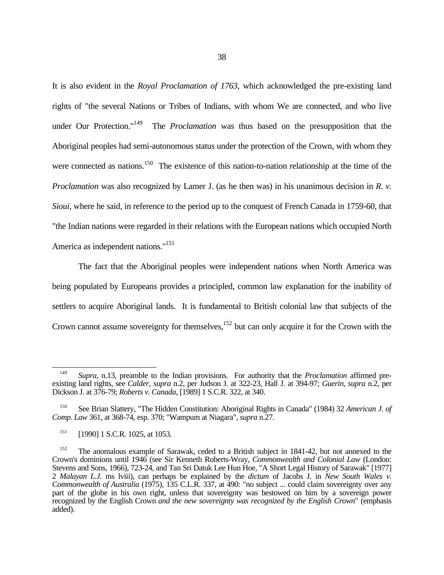It is also evident in the *Royal Proclamation of 1763*, which acknowledged the pre-existing land rights of "the several Nations or Tribes of Indians, with whom We are connected, and who live under Our Protection."<sup>149</sup> The *Proclamation* was thus based on the presupposition that the Aboriginal peoples had semi-autonomous status under the protection of the Crown, with whom they were connected as nations.<sup>150</sup> The existence of this nation-to-nation relationship at the time of the *Proclamation* was also recognized by Lamer J. (as he then was) in his unanimous decision in *R. v. Sioui*, where he said, in reference to the period up to the conquest of French Canada in 1759-60, that "the Indian nations were regarded in their relations with the European nations which occupied North America as independent nations."<sup>151</sup>

The fact that the Aboriginal peoples were independent nations when North America was being populated by Europeans provides a principled, common law explanation for the inability of settlers to acquire Aboriginal lands. It is fundamental to British colonial law that subjects of the Crown cannot assume sovereignty for themselves, $152$  but can only acquire it for the Crown with the

<sup>&</sup>lt;u>.</u> <sup>149</sup> *Supra*, n.13, preamble to the Indian provisions. For authority that the *Proclamation* affirmed preexisting land rights, see *Calder*, *supra* n.2, per Judson J. at 322-23, Hall J. at 394-97; *Guerin*, *supra* n.2, per Dickson J. at 376-79; *Roberts v. Canada*, [1989] 1 S.C.R. 322, at 340.

<sup>150</sup> See Brian Slattery, "The Hidden Constitution: Aboriginal Rights in Canada" (1984) 32 *American J. of Comp. Law* 361, at 368-74, esp. 370; "Wampum at Niagara", *supra* n.27.

<sup>&</sup>lt;sup>151</sup> [1990] 1 S.C.R. 1025, at 1053.

<sup>&</sup>lt;sup>152</sup> The anomalous example of Sarawak, ceded to a British subject in 1841-42, but not annexed to the Crown's dominions until 1946 (see Sir Kenneth Roberts-Wray, *Commonwealth and Colonial Law* (London: Stevens and Sons, 1966), 723-24, and Tan Sri Datuk Lee Hun Hoe, "A Short Legal History of Sarawak" [1977] 2 *Malayan L.J.* ms lviii), can perhaps be explained by the *dictum* of Jacobs J. in *New South Wales v. Commonwealth of Australia* (1975), 135 C.L.R. 337, at 490: "no subject ... could claim sovereignty over any part of the globe in his own right, unless that sovereignty was bestowed on him by a sovereign power recognized by the English Crown *and the new sovereignty was recognized by the English Crown*" (emphasis added).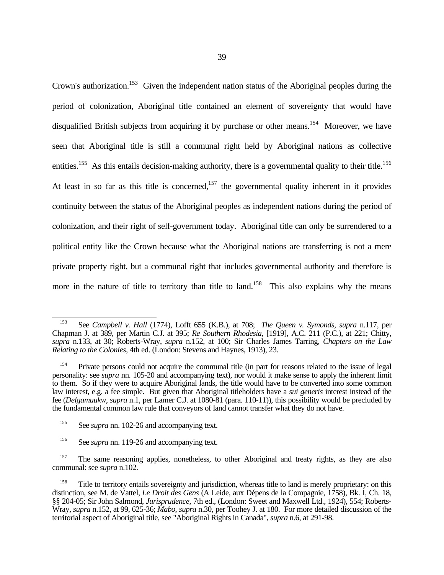Crown's authorization.<sup>153</sup> Given the independent nation status of the Aboriginal peoples during the period of colonization, Aboriginal title contained an element of sovereignty that would have disqualified British subjects from acquiring it by purchase or other means.<sup>154</sup> Moreover, we have seen that Aboriginal title is still a communal right held by Aboriginal nations as collective entities.<sup>155</sup> As this entails decision-making authority, there is a governmental quality to their title.<sup>156</sup> At least in so far as this title is concerned,<sup>157</sup> the governmental quality inherent in it provides continuity between the status of the Aboriginal peoples as independent nations during the period of colonization, and their right of self-government today. Aboriginal title can only be surrendered to a political entity like the Crown because what the Aboriginal nations are transferring is not a mere private property right, but a communal right that includes governmental authority and therefore is more in the nature of title to territory than title to land.<sup>158</sup> This also explains why the means

<sup>153</sup> See *Campbell v. Hall* (1774), Lofft 655 (K.B.), at 708; *The Queen v. Symonds*, *supra* n.117, per Chapman J. at 389, per Martin C.J. at 395; *Re Southern Rhodesia*, [1919], A.C. 211 (P.C.), at 221; Chitty, *supra* n.133, at 30; Roberts-Wray, *supra* n.152, at 100; Sir Charles James Tarring, *Chapters on the Law Relating to the Colonies*, 4th ed. (London: Stevens and Haynes, 1913), 23.

<sup>154</sup> Private persons could not acquire the communal title (in part for reasons related to the issue of legal personality: see *supra* nn. 105-20 and accompanying text), nor would it make sense to apply the inherent limit to them. So if they were to acquire Aboriginal lands, the title would have to be converted into some common law interest, e.g. a fee simple. But given that Aboriginal titleholders have a *sui generis* interest instead of the fee (*Delgamuukw*, *supra* n.1, per Lamer C.J. at 1080-81 (para. 110-11)), this possibility would be precluded by the fundamental common law rule that conveyors of land cannot transfer what they do not have.

<sup>&</sup>lt;sup>155</sup> See *supra* nn. 102-26 and accompanying text.

<sup>&</sup>lt;sup>156</sup> See *supra* nn. 119-26 and accompanying text.

<sup>&</sup>lt;sup>157</sup> The same reasoning applies, nonetheless, to other Aboriginal and treaty rights, as they are also communal: see *supra* n.102.

<sup>&</sup>lt;sup>158</sup> Title to territory entails sovereignty and jurisdiction, whereas title to land is merely proprietary: on this distinction, see M. de Vattel, *Le Droit des Gens* (A Leide, aux Dépens de la Compagnie, 1758), Bk. I, Ch. 18, §§ 204-05; Sir John Salmond, *Jurisprudence*, 7th ed., (London: Sweet and Maxwell Ltd., 1924), 554; Roberts-Wray, *supra* n.152, at 99, 625-36; *Mabo*, *supra* n.30, per Toohey J. at 180. For more detailed discussion of the territorial aspect of Aboriginal title, see "Aboriginal Rights in Canada", *supra* n.6, at 291-98.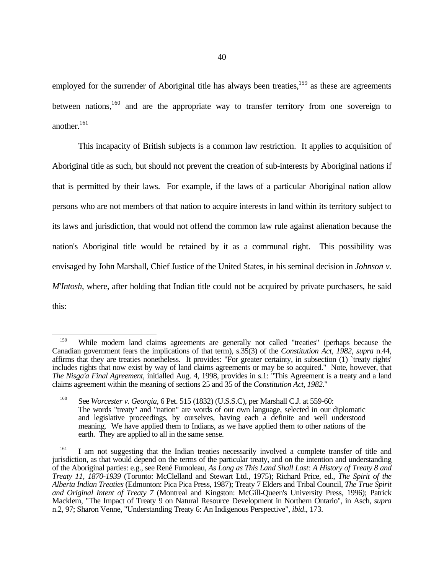employed for the surrender of Aboriginal title has always been treaties, $159$  as these are agreements between nations,  $160$  and are the appropriate way to transfer territory from one sovereign to another.<sup>161</sup>

This incapacity of British subjects is a common law restriction. It applies to acquisition of Aboriginal title as such, but should not prevent the creation of sub-interests by Aboriginal nations if that is permitted by their laws. For example, if the laws of a particular Aboriginal nation allow persons who are not members of that nation to acquire interests in land within its territory subject to its laws and jurisdiction, that would not offend the common law rule against alienation because the nation's Aboriginal title would be retained by it as a communal right. This possibility was envisaged by John Marshall, Chief Justice of the United States, in his seminal decision in *Johnson v. M'Intosh*, where, after holding that Indian title could not be acquired by private purchasers, he said this:

 $\overline{a}$ 

<sup>&</sup>lt;sup>159</sup> While modern land claims agreements are generally not called "treaties" (perhaps because the Canadian government fears the implications of that term), s.35(3) of the *Constitution Act, 1982*, *supra* n.44, affirms that they are treaties nonetheless. It provides: "For greater certainty, in subsection (1) `treaty rights' includes rights that now exist by way of land claims agreements or may be so acquired." Note, however, that *The Nisga'a Final Agreement*, initialled Aug. 4, 1998, provides in s.1: "This Agreement is a treaty and a land claims agreement within the meaning of sections 25 and 35 of the *Constitution Act, 1982*."

<sup>160</sup> See *Worcester v. Georgia*, 6 Pet. 515 (1832) (U.S.S.C), per Marshall C.J. at 559-60: The words "treaty" and "nation" are words of our own language, selected in our diplomatic and legislative proceedings, by ourselves, having each a definite and well understood meaning. We have applied them to Indians, as we have applied them to other nations of the earth. They are applied to all in the same sense.

<sup>&</sup>lt;sup>161</sup> I am not suggesting that the Indian treaties necessarily involved a complete transfer of title and jurisdiction, as that would depend on the terms of the particular treaty, and on the intention and understanding of the Aboriginal parties: e.g., see René Fumoleau, *As Long as This Land Shall Last: A History of Treaty 8 and Treaty 11, 1870-1939* (Toronto: McClelland and Stewart Ltd., 1975); Richard Price, ed., *The Spirit of the Alberta Indian Treaties* (Edmonton: Pica Pica Press, 1987); Treaty 7 Elders and Tribal Council, *The True Spirit and Original Intent of Treaty 7* (Montreal and Kingston: McGill-Queen's University Press, 1996); Patrick Macklem, "The Impact of Treaty 9 on Natural Resource Development in Northern Ontario", in Asch, *supra* n.2, 97; Sharon Venne, "Understanding Treaty 6: An Indigenous Perspective", *ibid*., 173.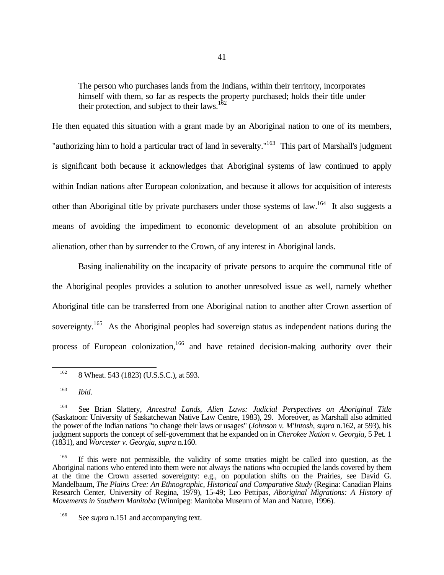The person who purchases lands from the Indians, within their territory, incorporates himself with them, so far as respects the property purchased; holds their title under their protection, and subject to their laws.<sup>162</sup>

He then equated this situation with a grant made by an Aboriginal nation to one of its members, "authorizing him to hold a particular tract of land in severalty."<sup>163</sup> This part of Marshall's judgment is significant both because it acknowledges that Aboriginal systems of law continued to apply within Indian nations after European colonization, and because it allows for acquisition of interests other than Aboriginal title by private purchasers under those systems of law.<sup>164</sup> It also suggests a means of avoiding the impediment to economic development of an absolute prohibition on alienation, other than by surrender to the Crown, of any interest in Aboriginal lands.

Basing inalienability on the incapacity of private persons to acquire the communal title of the Aboriginal peoples provides a solution to another unresolved issue as well, namely whether Aboriginal title can be transferred from one Aboriginal nation to another after Crown assertion of sovereignty.<sup>165</sup> As the Aboriginal peoples had sovereign status as independent nations during the process of European colonization,<sup>166</sup> and have retained decision-making authority over their

<u>.</u>

If this were not permissible, the validity of some treaties might be called into question, as the Aboriginal nations who entered into them were not always the nations who occupied the lands covered by them at the time the Crown asserted sovereignty: e.g., on population shifts on the Prairies, see David G. Mandelbaum, *The Plains Cree: An Ethnographic, Historical and Comparative Study* (Regina: Canadian Plains Research Center, University of Regina, 1979), 15-49; Leo Pettipas, *Aboriginal Migrations: A History of Movements in Southern Manitoba* (Winnipeg: Manitoba Museum of Man and Nature, 1996).

 $162$  8 Wheat. 543 (1823) (U.S.S.C.), at 593.

<sup>163</sup> *Ibid*.

<sup>164</sup> See Brian Slattery, *Ancestral Lands, Alien Laws: Judicial Perspectives on Aboriginal Title* (Saskatoon: University of Saskatchewan Native Law Centre, 1983), 29. Moreover, as Marshall also admitted the power of the Indian nations "to change their laws or usages" (*Johnson v. M'Intosh*, *supra* n.162, at 593), his judgment supports the concept of self-government that he expanded on in *Cherokee Nation v. Georgia*, 5 Pet. 1 (1831), and *Worcester v. Georgia*, *supra* n.160.

<sup>&</sup>lt;sup>166</sup> See *supra* n.151 and accompanying text.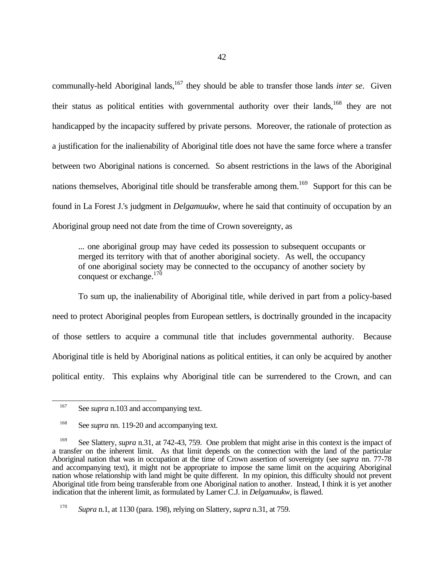communally-held Aboriginal lands,<sup>167</sup> they should be able to transfer those lands *inter se*. Given their status as political entities with governmental authority over their lands,<sup>168</sup> they are not handicapped by the incapacity suffered by private persons. Moreover, the rationale of protection as a justification for the inalienability of Aboriginal title does not have the same force where a transfer between two Aboriginal nations is concerned. So absent restrictions in the laws of the Aboriginal nations themselves, Aboriginal title should be transferable among them.<sup>169</sup> Support for this can be found in La Forest J.'s judgment in *Delgamuukw*, where he said that continuity of occupation by an Aboriginal group need not date from the time of Crown sovereignty, as

... one aboriginal group may have ceded its possession to subsequent occupants or merged its territory with that of another aboriginal society. As well, the occupancy of one aboriginal society may be connected to the occupancy of another society by conquest or exchange. $170$ 

To sum up, the inalienability of Aboriginal title, while derived in part from a policy-based need to protect Aboriginal peoples from European settlers, is doctrinally grounded in the incapacity of those settlers to acquire a communal title that includes governmental authority. Because Aboriginal title is held by Aboriginal nations as political entities, it can only be acquired by another political entity. This explains why Aboriginal title can be surrendered to the Crown, and can

<sup>&</sup>lt;sup>167</sup> See *supra* n.103 and accompanying text.

<sup>&</sup>lt;sup>168</sup> See *supra* nn. 119-20 and accompanying text.

<sup>&</sup>lt;sup>169</sup> See Slattery, *supra* n.31, at 742-43, 759. One problem that might arise in this context is the impact of a transfer on the inherent limit. As that limit depends on the connection with the land of the particular Aboriginal nation that was in occupation at the time of Crown assertion of sovereignty (see *supra* nn. 77-78 and accompanying text), it might not be appropriate to impose the same limit on the acquiring Aboriginal nation whose relationship with land might be quite different. In my opinion, this difficulty should not prevent Aboriginal title from being transferable from one Aboriginal nation to another. Instead, I think it is yet another indication that the inherent limit, as formulated by Lamer C.J. in *Delgamuukw*, is flawed.

<sup>170</sup> *Supra* n.1, at 1130 (para. 198), relying on Slattery, *supra* n.31, at 759.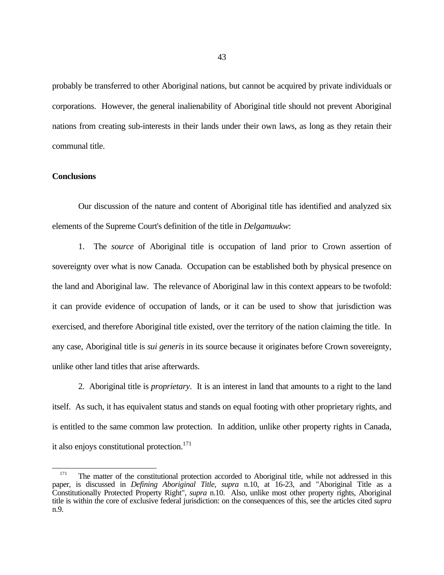probably be transferred to other Aboriginal nations, but cannot be acquired by private individuals or corporations. However, the general inalienability of Aboriginal title should not prevent Aboriginal nations from creating sub-interests in their lands under their own laws, as long as they retain their communal title.

## **Conclusions**

 $\overline{a}$ 

Our discussion of the nature and content of Aboriginal title has identified and analyzed six elements of the Supreme Court's definition of the title in *Delgamuukw*:

1. The *source* of Aboriginal title is occupation of land prior to Crown assertion of sovereignty over what is now Canada. Occupation can be established both by physical presence on the land and Aboriginal law. The relevance of Aboriginal law in this context appears to be twofold: it can provide evidence of occupation of lands, or it can be used to show that jurisdiction was exercised, and therefore Aboriginal title existed, over the territory of the nation claiming the title. In any case, Aboriginal title is *sui generis* in its source because it originates before Crown sovereignty, unlike other land titles that arise afterwards.

2. Aboriginal title is *proprietary*. It is an interest in land that amounts to a right to the land itself. As such, it has equivalent status and stands on equal footing with other proprietary rights, and is entitled to the same common law protection. In addition, unlike other property rights in Canada, it also enjoys constitutional protection.<sup>171</sup>

 $171$  The matter of the constitutional protection accorded to Aboriginal title, while not addressed in this paper, is discussed in *Defining Aboriginal Title*, *supra* n.10, at 16-23, and "Aboriginal Title as a Constitutionally Protected Property Right", *supra* n.10. Also, unlike most other property rights, Aboriginal title is within the core of exclusive federal jurisdiction: on the consequences of this, see the articles cited *supra* n.9.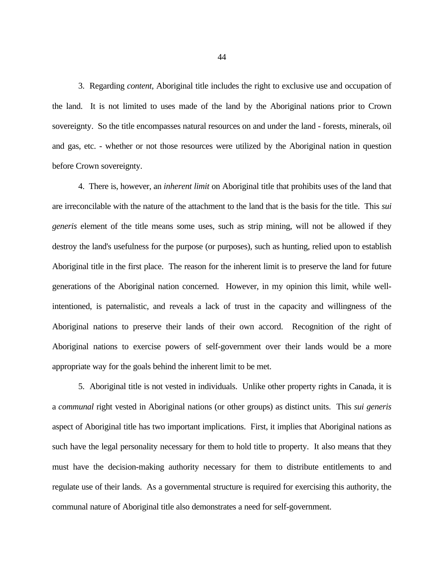3. Regarding *content*, Aboriginal title includes the right to exclusive use and occupation of the land. It is not limited to uses made of the land by the Aboriginal nations prior to Crown sovereignty. So the title encompasses natural resources on and under the land - forests, minerals, oil and gas, etc. - whether or not those resources were utilized by the Aboriginal nation in question before Crown sovereignty.

4. There is, however, an *inherent limit* on Aboriginal title that prohibits uses of the land that are irreconcilable with the nature of the attachment to the land that is the basis for the title. This *sui generis* element of the title means some uses, such as strip mining, will not be allowed if they destroy the land's usefulness for the purpose (or purposes), such as hunting, relied upon to establish Aboriginal title in the first place. The reason for the inherent limit is to preserve the land for future generations of the Aboriginal nation concerned. However, in my opinion this limit, while wellintentioned, is paternalistic, and reveals a lack of trust in the capacity and willingness of the Aboriginal nations to preserve their lands of their own accord. Recognition of the right of Aboriginal nations to exercise powers of self-government over their lands would be a more appropriate way for the goals behind the inherent limit to be met.

5. Aboriginal title is not vested in individuals. Unlike other property rights in Canada, it is a *communal* right vested in Aboriginal nations (or other groups) as distinct units. This *sui generis* aspect of Aboriginal title has two important implications. First, it implies that Aboriginal nations as such have the legal personality necessary for them to hold title to property. It also means that they must have the decision-making authority necessary for them to distribute entitlements to and regulate use of their lands. As a governmental structure is required for exercising this authority, the communal nature of Aboriginal title also demonstrates a need for self-government.